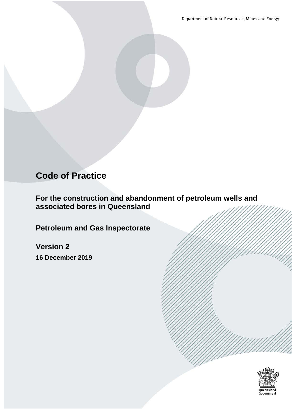Department of Natural Resources, Mines and Energy

# **Code of Practice**

**For the construction and abandonment of petroleum wells and associated bores in Queensland**

**Petroleum and Gas Inspectorate**

**Version 2 16 December 2019**

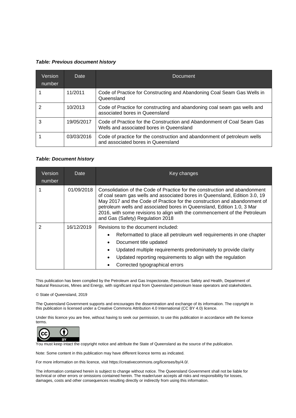#### <span id="page-1-0"></span>*Table: Previous document history*

| Version<br>number | Date       | <b>Document</b>                                                                                                    |
|-------------------|------------|--------------------------------------------------------------------------------------------------------------------|
|                   | 11/2011    | Code of Practice for Constructing and Abandoning Coal Seam Gas Wells in<br>Queensland                              |
| 2                 | 10/2013    | Code of Practice for constructing and abandoning coal seam gas wells and<br>associated bores in Queensland         |
| 3                 | 19/05/2017 | Code of Practice for the Construction and Abandonment of Coal Seam Gas<br>Wells and associated bores in Queensland |
|                   | 03/03/2016 | Code of practice for the construction and abandonment of petroleum wells<br>and associated bores in Queensland     |

#### <span id="page-1-1"></span>*Table: Document history*

| Version<br>number | Date       | Key changes                                                                                                                                                                                                                                                                                                                                                                                                                      |  |
|-------------------|------------|----------------------------------------------------------------------------------------------------------------------------------------------------------------------------------------------------------------------------------------------------------------------------------------------------------------------------------------------------------------------------------------------------------------------------------|--|
|                   | 01/09/2018 | Consolidation of the Code of Practice for the construction and abandonment<br>of coal seam gas wells and associated bores in Queensland, Edition 3.0, 19<br>May 2017 and the Code of Practice for the construction and abandonment of<br>petroleum wells and associated bores in Queensland, Edition 1.0, 3 Mar<br>2016, with some revisions to align with the commencement of the Petroleum<br>and Gas (Safety) Regulation 2018 |  |
| 2                 | 16/12/2019 | Revisions to the document included:<br>Reformatted to place all petroleum well requirements in one chapter<br>Document title updated<br>Updated multiple requirements predominately to provide clarity<br>Updated reporting requirements to align with the regulation<br>Corrected typographical errors                                                                                                                          |  |

This publication has been complied by the Petroleum and Gas Inspectorate, Resources Safety and Health, Department of Natural Resources, Mines and Energy, with significant input from Queensland petroleum lease operators and stakeholders.

© State of Queensland, 2019

The Queensland Government supports and encourages the dissemination and exchange of its information. The copyright in this publication is licensed under a Creative Commons Attribution 4.0 International (CC BY 4.0) licence.

Under this licence you are free, without having to seek our permission, to use this publication in accordance with the licence terms.



You must keep intact the copyright notice and attribute the State of Queensland as the source of the publication.

Note: Some content in this publication may have different licence terms as indicated.

For more information on this licence, visit https://creativecommons.org/licenses/by/4.0/.

The information contained herein is subject to change without notice. The Queensland Government shall not be liable for technical or other errors or omissions contained herein. The reader/user accepts all risks and responsibility for losses, damages, costs and other consequences resulting directly or indirectly from using this information.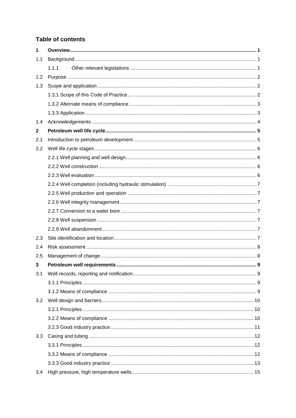# **Table of contents**

| 1            |       |  |
|--------------|-------|--|
| 1.1          |       |  |
|              | 1.1.1 |  |
| 1.2          |       |  |
| 1.3          |       |  |
|              |       |  |
|              |       |  |
|              |       |  |
| 1.4          |       |  |
| $\mathbf{2}$ |       |  |
| 2.1          |       |  |
| 2.2          |       |  |
|              |       |  |
|              |       |  |
|              |       |  |
|              |       |  |
|              |       |  |
|              |       |  |
|              |       |  |
|              |       |  |
|              |       |  |
| 2.3          |       |  |
| 2.4          |       |  |
| 2.5          |       |  |
| 3            |       |  |
| 3.1          |       |  |
|              |       |  |
|              |       |  |
| 3.2          |       |  |
|              |       |  |
|              |       |  |
|              |       |  |
| 3.3          |       |  |
|              |       |  |
|              |       |  |
|              |       |  |
| 3.4          |       |  |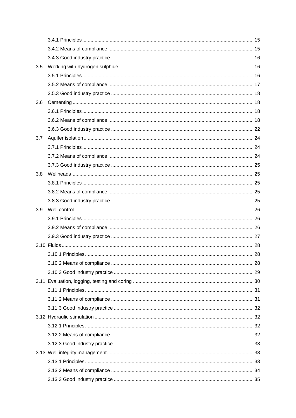| 3.5 |  |
|-----|--|
|     |  |
|     |  |
|     |  |
| 3.6 |  |
|     |  |
|     |  |
|     |  |
| 3.7 |  |
|     |  |
|     |  |
|     |  |
| 3.8 |  |
|     |  |
|     |  |
|     |  |
| 3.9 |  |
|     |  |
|     |  |
|     |  |
|     |  |
|     |  |
|     |  |
|     |  |
|     |  |
|     |  |
|     |  |
|     |  |
|     |  |
|     |  |
|     |  |
|     |  |
|     |  |
|     |  |
|     |  |
|     |  |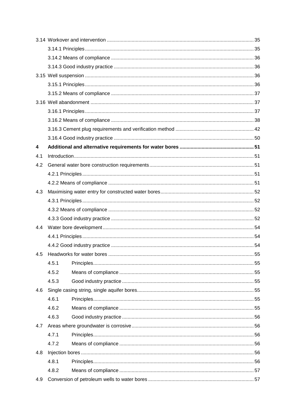| 4   |       |  |
|-----|-------|--|
| 4.1 |       |  |
| 4.2 |       |  |
|     |       |  |
|     |       |  |
| 4.3 |       |  |
|     |       |  |
|     |       |  |
|     |       |  |
| 4.4 |       |  |
|     |       |  |
|     |       |  |
| 4.5 |       |  |
|     | 4.5.1 |  |
|     | 4.5.2 |  |
|     | 4.5.3 |  |
| 4.6 |       |  |
|     | 4.6.1 |  |
|     | 4.6.2 |  |
|     | 4.6.3 |  |
| 4.7 |       |  |
|     | 4.7.1 |  |
|     | 4.7.2 |  |
| 4.8 |       |  |
|     | 4.8.1 |  |
|     | 4.8.2 |  |
| 4.9 |       |  |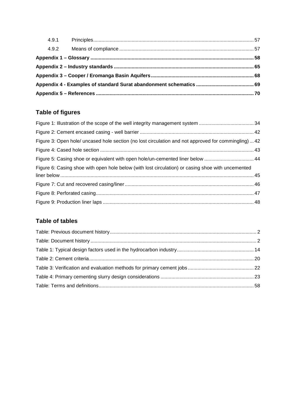| 4.9.2 |  |
|-------|--|
|       |  |
|       |  |
|       |  |
|       |  |
|       |  |

# **Table of figures**

| Figure 3: Open hole/ uncased hole section (no lost circulation and not approved for commingling)  42 |
|------------------------------------------------------------------------------------------------------|
|                                                                                                      |
| Figure 5: Casing shoe or equivalent with open hole/un-cemented liner below  44                       |
| Figure 6: Casing shoe with open hole below (with lost circulation) or casing shoe with uncemented    |
|                                                                                                      |
|                                                                                                      |
|                                                                                                      |
|                                                                                                      |
|                                                                                                      |

# **Table of tables**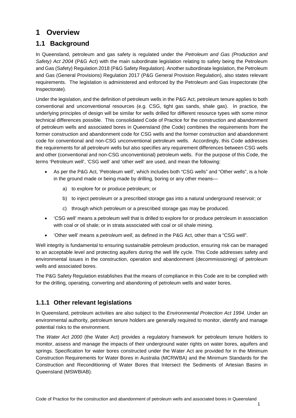# <span id="page-6-0"></span>**1 Overview**

# <span id="page-6-1"></span>**1.1 Background**

In Queensland, petroleum and gas safety is regulated under the *Petroleum and Gas (Production and Safety) Act 2004* (P&G Act) with the main subordinate legislation relating to safety being the Petroleum and Gas (Safety) Regulation 2018 (P&G Safety Regulation). Another subordinate legislation, the Petroleum and Gas (General Provisions) Regulation 2017 (P&G General Provision Regulation), also states relevant requirements. The legislation is administered and enforced by the Petroleum and Gas Inspectorate (the Inspectorate).

Under the legislation, and the definition of petroleum wells in the P&G Act, petroleum tenure applies to both conventional and unconventional resources (e.g. CSG, tight gas sands, shale gas). In practice, the underlying principles of design will be similar for wells drilled for different resource types with some minor technical differences possible. This consolidated Code of Practice for the construction and abandonment of petroleum wells and associated bores in Queensland (the Code) combines the requirements from the former construction and abandonment code for CSG wells and the former construction and abandonment code for conventional and non-CSG unconventional petroleum wells. Accordingly, this Code addresses the requirements for all petroleum wells but also specifies any requirement differences between CSG wells and other (conventional and non-CSG unconventional) petroleum wells. For the purpose of this Code, the terms 'Petroleum well', 'CSG well' and 'other well' are used, and mean the following:

- As per the P&G Act, 'Petroleum well', which includes both "CSG wells" and "Other wells", is a hole in the ground made or being made by drilling, boring or any other means
	- a) to explore for or produce petroleum; or
	- b) to inject petroleum or a prescribed storage gas into a natural underground reservoir; or
	- c) through which petroleum or a prescribed storage gas may be produced.
- 'CSG well' means a petroleum well that is drilled to explore for or produce petroleum in association with coal or oil shale; or in strata associated with coal or oil shale mining.
- 'Other well' means a *petroleum well*, as defined in the P&G Act, other than a "CSG well".

Well integrity is fundamental to ensuring sustainable petroleum production, ensuring risk can be managed to an acceptable level and protecting aquifers during the well life cycle. This Code addresses safety and environmental issues in the construction, operation and abandonment (decommissioning) of petroleum wells and associated bores.

The P&G Safety Regulation establishes that the means of compliance in this Code are to be complied with for the drilling, operating, converting and abandoning of petroleum wells and water bores.

## <span id="page-6-2"></span>**1.1.1 Other relevant legislations**

In Queensland, petroleum activities are also subject to the *Environmental Protection Act 1994*. Under an environmental authority, petroleum tenure holders are generally required to monitor, identify and manage potential risks to the environment.

The *Water Act 2000* (the Water Act) provides a regulatory framework for petroleum tenure holders to monitor, assess and manage the impacts of their underground water rights on water bores, aquifers and springs. Specification for water bores constructed under the Water Act are provided for in the Minimum Construction Requirements for Water Bores in Australia (MCRWBA) and the Minimum Standards for the Construction and Reconditioning of Water Bores that Intersect the Sediments of Artesian Basins in Queensland (MSWBIAB).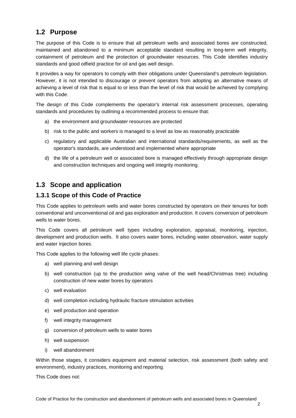## <span id="page-7-0"></span>**1.2 Purpose**

The purpose of this Code is to ensure that all petroleum wells and associated bores are constructed, maintained and abandoned to a minimum acceptable standard resulting in long-term well integrity, containment of petroleum and the protection of groundwater resources. This Code identifies industry standards and good oilfield practice for oil and gas well design.

It provides a way for operators to comply with their obligations under Queensland's petroleum legislation. However, it is not intended to discourage or prevent operators from adopting an alternative means of achieving a level of risk that is equal to or less than the level of risk that would be achieved by complying with this Code.

The design of this Code complements the operator's internal risk assessment processes, operating standards and procedures by outlining a recommended process to ensure that:

- a) the environment and groundwater resources are protected
- b) risk to the public and workers is managed to a level as low as reasonably practicable
- c) regulatory and applicable Australian and international standards/requirements, as well as the operator's standards, are understood and implemented where appropriate
- d) the life of a petroleum well or associated bore is managed effectively through appropriate design and construction techniques and ongoing well integrity monitoring.

# <span id="page-7-1"></span>**1.3 Scope and application**

### <span id="page-7-2"></span>**1.3.1 Scope of this Code of Practice**

This Code applies to petroleum wells and water bores constructed by operators on their tenures for both conventional and unconventional oil and gas exploration and production. It covers conversion of petroleum wells to water bores.

This Code covers all petroleum well types including exploration, appraisal, monitoring, injection, development and production wells. It also covers water bores, including water observation, water supply and water injection bores.

This Code applies to the following well life cycle phases:

- a) well planning and well design
- b) well construction (up to the production wing valve of the well head/Christmas tree) including construction of new water bores by operators
- c) well evaluation
- d) well completion including hydraulic fracture stimulation activities
- e) well production and operation
- f) well integrity management
- g) conversion of petroleum wells to water bores
- h) well suspension
- i) well abandonment

Within those stages, it considers equipment and material selection, risk assessment (both safety and environment), industry practices, monitoring and reporting.

This Code does not: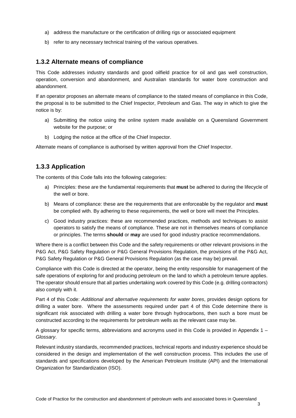- a) address the manufacture or the certification of drilling rigs or associated equipment
- b) refer to any necessary technical training of the various operatives.

#### <span id="page-8-0"></span>**1.3.2 Alternate means of compliance**

This Code addresses industry standards and good oilfield practice for oil and gas well construction, operation, conversion and abandonment, and Australian standards for water bore construction and abandonment.

If an operator proposes an alternate means of compliance to the stated means of compliance in this Code, the proposal is to be submitted to the Chief Inspector, Petroleum and Gas. The way in which to give the notice is by:

- a) Submitting the notice using the online system made available on a Queensland Government website for the purpose; or
- b) Lodging the notice at the office of the Chief Inspector.

Alternate means of compliance is authorised by written approval from the Chief Inspector.

## <span id="page-8-1"></span>**1.3.3 Application**

The contents of this Code falls into the following categories:

- a) Principles: these are the fundamental requirements that **must** be adhered to during the lifecycle of the well or bore.
- b) Means of compliance: these are the requirements that are enforceable by the regulator and **must** be complied with. By adhering to these requirements, the well or bore will meet the Principles.
- c) Good industry practices: these are recommended practices, methods and techniques to assist operators to satisfy the means of compliance. These are not in themselves means of compliance or principles. The terms **should** or **may** are used for good industry practice recommendations.

Where there is a conflict between this Code and the safety requirements or other relevant provisions in the P&G Act, P&G Safety Regulation or P&G General Provisions Regulation, the provisions of the P&G Act, P&G Safety Regulation or P&G General Provisions Regulation (as the case may be) prevail.

Compliance with this Code is directed at the operator, being the entity responsible for management of the safe operations of exploring for and producing petroleum on the land to which a petroleum tenure applies. The operator should ensure that all parties undertaking work covered by this Code (e.g. drilling contractors) also comply with it.

Part 4 of this Code: *Additional and alternative requirements for water bores*, provides design options for drilling a water bore. Where the assessments required under part [4](#page-56-0) of this Code determine there is significant risk associated with drilling a water bore through hydrocarbons, then such a bore must be constructed according to the requirements for petroleum wells as the relevant case may be.

A glossary for specific terms, abbreviations and acronyms used in this Code is provided in Appendix 1 – *Glossary*.

Relevant industry standards, recommended practices, technical reports and industry experience should be considered in the design and implementation of the well construction process. This includes the use of standards and specifications developed by the American Petroleum Institute (API) and the International Organization for Standardization (ISO).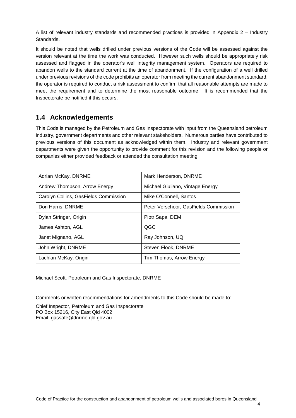A list of relevant industry standards and recommended practices is provided in Appendix 2 – Industry Standards.

It should be noted that wells drilled under previous versions of the Code will be assessed against the version relevant at the time the work was conducted. However such wells should be appropriately risk assessed and flagged in the operator's well integrity management system. Operators are required to abandon wells to the standard current at the time of abandonment. If the configuration of a well drilled under previous revisions of the code prohibits an operator from meeting the current abandonment standard, the operator is required to conduct a risk assessment to confirm that all reasonable attempts are made to meet the requirement and to determine the most reasonable outcome. It is recommended that the Inspectorate be notified if this occurs.

## <span id="page-9-0"></span>**1.4 Acknowledgements**

This Code is managed by the Petroleum and Gas Inspectorate with input from the Queensland petroleum industry, government departments and other relevant stakeholders. Numerous parties have contributed to previous versions of this document as acknowledged within them. Industry and relevant government departments were given the opportunity to provide comment for this revision and the following people or companies either provided feedback or attended the consultation meeting:

| Adrian McKay, DNRME                   | Mark Henderson, DNRME                 |
|---------------------------------------|---------------------------------------|
| Andrew Thompson, Arrow Energy         | Michael Giuliano, Vintage Energy      |
| Carolyn Collins, GasFields Commission | Mike O'Connell, Santos                |
| Don Harris, DNRME                     | Peter Verschoor, GasFields Commission |
| Dylan Stringer, Origin                | Piotr Sapa, DEM                       |
| James Ashton, AGL                     | QGC                                   |
| Janet Mignano, AGL                    | Ray Johnson, UQ                       |
| John Wright, DNRME                    | Steven Flook, DNRME                   |
| Lachlan McKay, Origin                 | Tim Thomas, Arrow Energy              |

Michael Scott, Petroleum and Gas Inspectorate, DNRME

Comments or written recommendations for amendments to this Code should be made to:

Chief Inspector, Petroleum and Gas Inspectorate PO Box 15216, City East Qld 4002 Email: gassafe@dnrme.qld.gov.au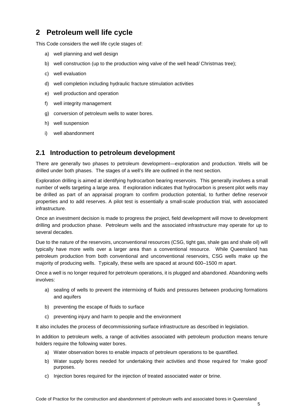# <span id="page-10-0"></span>**2 Petroleum well life cycle**

This Code considers the well life cycle stages of:

- a) well planning and well design
- b) well construction (up to the production wing valve of the well head/ Christmas tree);
- c) well evaluation
- d) well completion including hydraulic fracture stimulation activities
- e) well production and operation
- f) well integrity management
- g) conversion of petroleum wells to water bores.
- h) well suspension
- i) well abandonment

## <span id="page-10-1"></span>**2.1 Introduction to petroleum development**

There are generally two phases to petroleum development—exploration and production. Wells will be drilled under both phases. The stages of a well's life are outlined in the next section.

Exploration drilling is aimed at identifying hydrocarbon bearing reservoirs. This generally involves a small number of wells targeting a large area. If exploration indicates that hydrocarbon is present pilot wells may be drilled as part of an appraisal program to confirm production potential, to further define reservoir properties and to add reserves. A pilot test is essentially a small-scale production trial, with associated infrastructure.

Once an investment decision is made to progress the project, field development will move to development drilling and production phase. Petroleum wells and the associated infrastructure may operate for up to several decades.

Due to the nature of the reservoirs, unconventional resources (CSG, tight gas, shale gas and shale oil) will typically have more wells over a larger area than a conventional resource. While Queensland has petroleum production from both conventional and unconventional reservoirs, CSG wells make up the majority of producing wells. Typically, these wells are spaced at around 600–1500 m apart.

Once a well is no longer required for petroleum operations, it is plugged and abandoned. Abandoning wells involves:

- a) sealing of wells to prevent the intermixing of fluids and pressures between producing formations and aquifers
- b) preventing the escape of fluids to surface
- c) preventing injury and harm to people and the environment

It also includes the process of decommissioning surface infrastructure as described in legislation.

In addition to petroleum wells, a range of activities associated with petroleum production means tenure holders require the following water bores.

- a) Water observation bores to enable impacts of petroleum operations to be quantified.
- b) Water supply bores needed for undertaking their activities and those required for 'make good' purposes.
- c) Injection bores required for the injection of treated associated water or brine.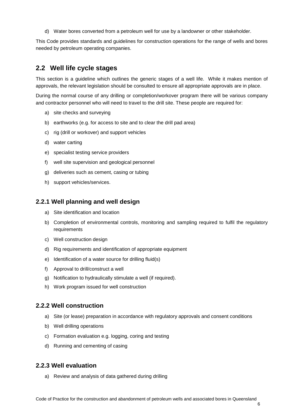d) Water bores converted from a petroleum well for use by a landowner or other stakeholder.

This Code provides standards and guidelines for construction operations for the range of wells and bores needed by petroleum operating companies.

## <span id="page-11-0"></span>**2.2 Well life cycle stages**

This section is a guideline which outlines the generic stages of a well life. While it makes mention of approvals, the relevant legislation should be consulted to ensure all appropriate approvals are in place.

During the normal course of any drilling or completion/workover program there will be various company and contractor personnel who will need to travel to the drill site. These people are required for:

- a) site checks and surveying
- b) earthworks (e.g. for access to site and to clear the drill pad area)
- c) rig (drill or workover) and support vehicles
- d) water carting
- e) specialist testing service providers
- f) well site supervision and geological personnel
- g) deliveries such as cement, casing or tubing
- h) support vehicles/services.

#### <span id="page-11-1"></span>**2.2.1 Well planning and well design**

- a) Site identification and location
- b) Completion of environmental controls, monitoring and sampling required to fulfil the regulatory requirements
- c) Well construction design
- d) Rig requirements and identification of appropriate equipment
- e) Identification of a water source for drilling fluid(s)
- f) Approval to drill/construct a well
- g) Notification to hydraulically stimulate a well (if required).
- h) Work program issued for well construction

### <span id="page-11-2"></span>**2.2.2 Well construction**

- a) Site (or lease) preparation in accordance with regulatory approvals and consent conditions
- b) Well drilling operations
- c) Formation evaluation e.g. logging, coring and testing
- d) Running and cementing of casing

#### <span id="page-11-3"></span>**2.2.3 Well evaluation**

a) Review and analysis of data gathered during drilling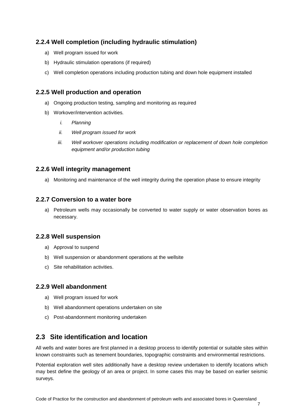## <span id="page-12-0"></span>**2.2.4 Well completion (including hydraulic stimulation)**

- a) Well program issued for work
- b) Hydraulic stimulation operations (if required)
- c) Well completion operations including production tubing and down hole equipment installed

### <span id="page-12-1"></span>**2.2.5 Well production and operation**

- a) Ongoing production testing, sampling and monitoring as required
- b) Workover/intervention activities*.*
	- *i. Planning*
	- *ii. Well program issued for work*
	- *iii. Well workover operations including modification or replacement of down hole completion equipment and/or production tubing*

### <span id="page-12-2"></span>**2.2.6 Well integrity management**

a) Monitoring and maintenance of the well integrity during the operation phase to ensure integrity

### <span id="page-12-3"></span>**2.2.7 Conversion to a water bore**

a) Petroleum wells may occasionally be converted to water supply or water observation bores as necessary.

### <span id="page-12-4"></span>**2.2.8 Well suspension**

- a) Approval to suspend
- b) Well suspension or abandonment operations at the wellsite
- c) Site rehabilitation activities.

### <span id="page-12-5"></span>**2.2.9 Well abandonment**

- a) Well program issued for work
- b) Well abandonment operations undertaken on site
- c) Post-abandonment monitoring undertaken

# <span id="page-12-6"></span>**2.3 Site identification and location**

All wells and water bores are first planned in a desktop process to identify potential or suitable sites within known constraints such as tenement boundaries, topographic constraints and environmental restrictions.

Potential exploration well sites additionally have a desktop review undertaken to identify locations which may best define the geology of an area or project. In some cases this may be based on earlier seismic surveys.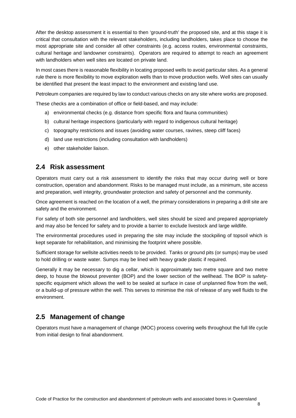After the desktop assessment it is essential to then 'ground-truth' the proposed site, and at this stage it is critical that consultation with the relevant stakeholders, including landholders, takes place to choose the most appropriate site and consider all other constraints (e.g. access routes, environmental constraints, cultural heritage and landowner constraints). Operators are required to attempt to reach an agreement with landholders when well sites are located on private land.

In most cases there is reasonable flexibility in locating proposed wells to avoid particular sites. As a general rule there is more flexibility to move exploration wells than to move production wells. Well sites can usually be identified that present the least impact to the environment and existing land use.

Petroleum companies are required by law to conduct various checks on any site where works are proposed.

These checks are a combination of office or field-based, and may include:

- a) environmental checks (e.g. distance from specific flora and fauna communities)
- b) cultural heritage inspections (particularly with regard to indigenous cultural heritage)
- c) topography restrictions and issues (avoiding water courses, ravines, steep cliff faces)
- d) land use restrictions (including consultation with landholders)
- e) other stakeholder liaison.

## <span id="page-13-0"></span>**2.4 Risk assessment**

Operators must carry out a risk assessment to identify the risks that may occur during well or bore construction, operation and abandonment. Risks to be managed must include, as a minimum, site access and preparation, well integrity, groundwater protection and safety of personnel and the community.

Once agreement is reached on the location of a well, the primary considerations in preparing a drill site are safety and the environment.

For safety of both site personnel and landholders, well sites should be sized and prepared appropriately and may also be fenced for safety and to provide a barrier to exclude livestock and large wildlife.

The environmental procedures used in preparing the site may include the stockpiling of topsoil which is kept separate for rehabilitation, and minimising the footprint where possible.

Sufficient storage for wellsite activities needs to be provided. Tanks or ground pits (or sumps) may be used to hold drilling or waste water. Sumps may be lined with heavy grade plastic if required.

Generally it may be necessary to dig a cellar, which is approximately two metre square and two metre deep, to house the blowout preventer (BOP) and the lower section of the wellhead. The BOP is safetyspecific equipment which allows the well to be sealed at surface in case of unplanned flow from the well, or a build-up of pressure within the well. This serves to minimise the risk of release of any well fluids to the environment.

# <span id="page-13-1"></span>**2.5 Management of change**

Operators must have a management of change (MOC) process covering wells throughout the full life cycle from initial design to final abandonment.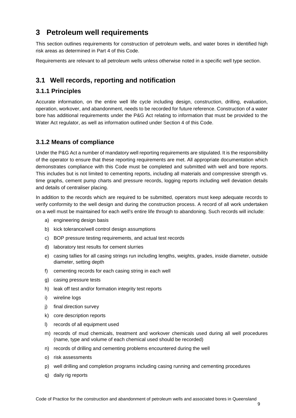# <span id="page-14-0"></span>**3 Petroleum well requirements**

This section outlines requirements for construction of petroleum wells, and water bores in identified high risk areas as determined in Part [4](#page-56-0) of this Code.

Requirements are relevant to all petroleum wells unless otherwise noted in a specific well type section.

# <span id="page-14-1"></span>**3.1 Well records, reporting and notification**

## <span id="page-14-2"></span>**3.1.1 Principles**

Accurate information, on the entire well life cycle including design, construction, drilling, evaluation, operation, workover, and abandonment, needs to be recorded for future reference. Construction of a water bore has additional requirements under the P&G Act relating to information that must be provided to the Water Act regulator, as well as information outlined under Section [4](#page-56-0) of this Code.

## <span id="page-14-3"></span>**3.1.2 Means of compliance**

Under the P&G Act a number of mandatory well reporting requirements are stipulated. It is the responsibility of the operator to ensure that these reporting requirements are met. All appropriate documentation which demonstrates compliance with this Code must be completed and submitted with well and bore reports. This includes but is not limited to cementing reports, including all materials and compressive strength vs. time graphs, cement pump charts and pressure records, logging reports including well deviation details and details of centraliser placing.

In addition to the records which are required to be submitted, operators must keep adequate records to verify conformity to the well design and during the construction process. A record of all work undertaken on a well must be maintained for each well's entire life through to abandoning. Such records will include:

- a) engineering design basis
- b) kick tolerance/well control design assumptions
- c) BOP pressure testing requirements, and actual test records
- d) laboratory test results for cement slurries
- e) casing tallies for all casing strings run including lengths, weights, grades, inside diameter, outside diameter, setting depth
- f) cementing records for each casing string in each well
- g) casing pressure tests
- h) leak off test and/or formation integrity test reports
- i) wireline logs
- j) final direction survey
- k) core description reports
- l) records of all equipment used
- m) records of mud chemicals, treatment and workover chemicals used during all well procedures (name, type and volume of each chemical used should be recorded)
- n) records of drilling and cementing problems encountered during the well
- o) risk assessments
- p) well drilling and completion programs including casing running and cementing procedures
- q) daily rig reports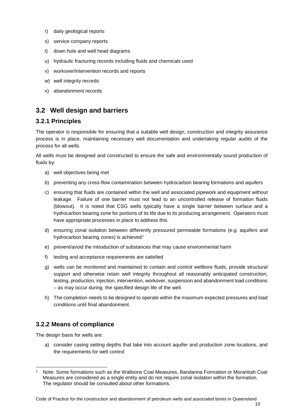- r) daily geological reports
- s) service company reports
- t) down hole and well head diagrams
- u) hydraulic fracturing records including fluids and chemicals used
- v) workover/intervention records and reports
- w) well integrity records
- x) abandonment records

# <span id="page-15-0"></span>**3.2 Well design and barriers**

### <span id="page-15-1"></span>**3.2.1 Principles**

The operator is responsible for ensuring that a suitable well design, construction and integrity assurance process is in place, maintaining necessary well documentation and undertaking regular audits of the process for all wells.

All wells must be designed and constructed to ensure the safe and environmentally sound production of fluids by:

- a) well objectives being met
- b) preventing any cross-flow contamination between hydrocarbon bearing formations and aquifers
- c) ensuring that fluids are contained within the well and associated pipework and equipment without leakage. Failure of one barrier must not lead to an uncontrolled release of formation fluids (blowout). It is noted that CSG wells typically have a single barrier between surface and a hydrocarbon bearing zone for portions of its life due to its producing arrangement. Operators must have appropriate processes in place to address this.
- d) ensuring zonal isolation between differently pressured permeable formations (e.g. aquifers and hydrocarbon bearing zones) is achieved<sup>[1](#page-15-3)</sup>
- e) prevent/avoid the introduction of substances that may cause environmental harm
- f) testing and acceptance requirements are satisfied
- g) wells can be monitored and maintained to contain and control wellbore fluids, provide structural support and otherwise retain well integrity throughout all reasonably anticipated construction, testing, production, injection, intervention, workover, suspension and abandonment load conditions – as may occur during the specified design life of the well.
- h) The completion needs to be designed to operate within the maximum expected pressures and load conditions until final abandonment.

# <span id="page-15-2"></span>**3.2.2 Means of compliance**

The design basis for wells are:

a) consider casing setting depths that take into account aquifer and production zone locations, and the requirements for well control

<span id="page-15-3"></span><sup>1</sup> Note: Some formations such as the Walloons Coal Measures, Bandanna Formation or Moranbah Coal Measures are considered as a single entity and do not require zonal isolation within the formation. The regulator should be consulted about other formations.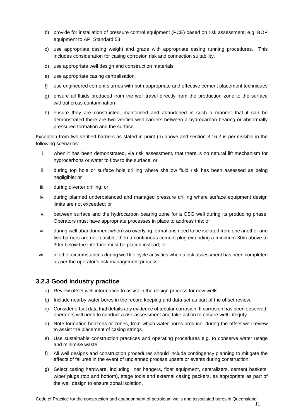- b) provide for installation of pressure control equipment (PCE) based on risk assessment, e.g. BOP equipment to API Standard 53
- c) use appropriate casing weight and grade with appropriate casing running procedures. This includes consideration for casing corrosion risk and connection suitability.
- d) use appropriate well design and construction materials
- e) use appropriate casing centralisation
- f) use engineered cement slurries with both appropriate and effective cement placement techniques
- g) ensure all fluids produced from the well travel directly from the production zone to the surface without cross contamination
- h) ensure they are constructed, maintained and abandoned in such a manner that it can be demonstrated there are two verified well barriers between a hydrocarbon bearing or abnormally pressured formation and the surface.

Exception from two verified barriers as stated in point (h) above and section 3.16.2 is permissible in the following scenarios:

- i. when it has been demonstrated, via risk assessment, that there is no natural lift mechanism for hydrocarbons or water to flow to the surface; or
- ii. during top hole or surface hole drilling where shallow fluid risk has been assessed as being negligible; or
- iii. during diverter drilling; or
- iv. during planned underbalanced and managed pressure drilling where surface equipment design limits are not exceeded; or
- v. between surface and the hydrocarbon bearing zone for a CSG well during its producing phase. Operators must have appropriate processes in place to address this; or
- vi. during well abandonment when two overlying formations need to be isolated from one another and two barriers are not feasible, then a continuous cement plug extending a minimum 30m above to 30m below the interface must be placed instead; or
- vii. in other circumstances during well life cycle activities when a risk assessment has been completed as per the operator's risk management process.

### <span id="page-16-0"></span>**3.2.3 Good industry practice**

- a) Review offset well information to assist in the design process for new wells.
- b) Include nearby water bores in the record keeping and data-set as part of the offset review.
- c) Consider offset data that details any evidence of tubular corrosion. If corrosion has been observed, operators will need to conduct a risk assessment and take action to ensure well integrity.
- d) Note formation horizons or zones, from which water bores produce, during the offset well review to assist the placement of casing strings.
- e) Use sustainable construction practices and operating procedures e.g. to conserve water usage and minimise waste.
- f) All well designs and construction procedures should include contingency planning to mitigate the effects of failures in the event of unplanned process upsets or events during construction.
- g) Select casing hardware, including liner hangers, float equipment, centralizers, cement baskets, wiper plugs (top and bottom), stage tools and external casing packers, as appropriate as part of the well design to ensure zonal isolation.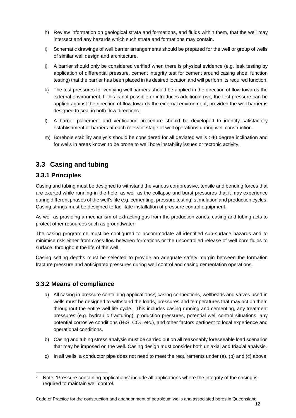- h) Review information on geological strata and formations, and fluids within them, that the well may intersect and any hazards which such strata and formations may contain.
- i) Schematic drawings of well barrier arrangements should be prepared for the well or group of wells of similar well design and architecture.
- j) A barrier should only be considered verified when there is physical evidence (e.g. leak testing by application of differential pressure, cement integrity test for cement around casing shoe, function testing) that the barrier has been placed in its desired location and will perform its required function.
- k) The test pressures for verifying well barriers should be applied in the direction of flow towards the external environment. If this is not possible or introduces additional risk, the test pressure can be applied against the direction of flow towards the external environment, provided the well barrier is designed to seal in both flow directions.
- l) A barrier placement and verification procedure should be developed to identify satisfactory establishment of barriers at each relevant stage of well operations during well construction.
- m) Borehole stability analysis should be considered for all deviated wells >40 degree inclination and for wells in areas known to be prone to well bore instability issues or tectonic activity.

# <span id="page-17-0"></span>**3.3 Casing and tubing**

## <span id="page-17-1"></span>**3.3.1 Principles**

Casing and tubing must be designed to withstand the various compressive, tensile and bending forces that are exerted while running-in the hole, as well as the collapse and burst pressures that it may experience during different phases of the well's life e.g. cementing, pressure testing, stimulation and production cycles. Casing strings must be designed to facilitate installation of pressure control equipment.

As well as providing a mechanism of extracting gas from the production zones, casing and tubing acts to protect other resources such as groundwater.

The casing programme must be configured to accommodate all identified sub-surface hazards and to minimise risk either from cross-flow between formations or the uncontrolled release of well bore fluids to surface, throughout the life of the well.

Casing setting depths must be selected to provide an adequate safety margin between the formation fracture pressure and anticipated pressures during well control and casing cementation operations.

## <span id="page-17-2"></span>**3.3.2 Means of compliance**

- a) All casing in pressure containing applications<sup>[2](#page-17-3)</sup>, casing connections, wellheads and valves used in wells must be designed to withstand the loads, pressures and temperatures that may act on them throughout the entire well life cycle. This includes casing running and cementing, any treatment pressures (e.g. hydraulic fracturing), production pressures, potential well control situations, any potential corrosive conditions (H2S, CO2, etc.), and other factors pertinent to local experience and operational conditions.
- b) Casing and tubing stress analysis must be carried out on all reasonably foreseeable load scenarios that may be imposed on the well. Casing design must consider both uniaxial and triaxial analysis.
- c) In all wells, a conductor pipe does not need to meet the requirements under (a), (b) and (c) above.

<span id="page-17-3"></span><sup>&</sup>lt;sup>2</sup> Note: 'Pressure containing applications' include all applications where the integrity of the casing is required to maintain well control.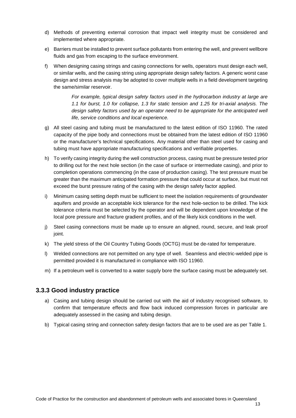- d) Methods of preventing external corrosion that impact well integrity must be considered and implemented where appropriate.
- e) Barriers must be installed to prevent surface pollutants from entering the well, and prevent wellbore fluids and gas from escaping to the surface environment.
- f) When designing casing strings and casing connections for wells, operators must design each well, or similar wells, and the casing string using appropriate design safety factors. A generic worst case design and stress analysis may be adopted to cover multiple wells in a field development targeting the same/similar reservoir.

*For example, typical design safety factors used in the hydrocarbon industry at large are 1.1 for burst, 1.0 for collapse, 1.3 for static tension and 1.25 for tri-axial analysis. The design safety factors used by an operator need to be appropriate for the anticipated well life, service conditions and local experience.*

- g) All steel casing and tubing must be manufactured to the latest edition of ISO 11960. The rated capacity of the pipe body and connections must be obtained from the latest edition of ISO 11960 or the manufacturer's technical specifications. Any material other than steel used for casing and tubing must have appropriate manufacturing specifications and verifiable properties.
- h) To verify casing integrity during the well construction process, casing must be pressure tested prior to drilling out for the next hole section (in the case of surface or intermediate casing), and prior to completion operations commencing (in the case of production casing). The test pressure must be greater than the maximum anticipated formation pressure that could occur at surface, but must not exceed the burst pressure rating of the casing with the design safety factor applied.
- i) Minimum casing setting depth must be sufficient to meet the isolation requirements of groundwater aquifers and provide an acceptable kick tolerance for the next hole-section to be drilled. The kick tolerance criteria must be selected by the operator and will be dependent upon knowledge of the local pore pressure and fracture gradient profiles, and of the likely kick conditions in the well.
- j) Steel casing connections must be made up to ensure an aligned, round, secure, and leak proof joint.
- k) The yield stress of the Oil Country Tubing Goods (OCTG) must be de-rated for temperature.
- l) Welded connections are not permitted on any type of well. Seamless and electric-welded pipe is permitted provided it is manufactured in compliance with ISO 11960.
- m) If a petroleum well is converted to a water supply bore the surface casing must be adequately set.

### <span id="page-18-0"></span>**3.3.3 Good industry practice**

- a) Casing and tubing design should be carried out with the aid of industry recognised software, to confirm that temperature effects and flow back induced compression forces in particular are adequately assessed in the casing and tubing design.
- b) Typical casing string and connection safety design factors that are to be used are as per Table 1.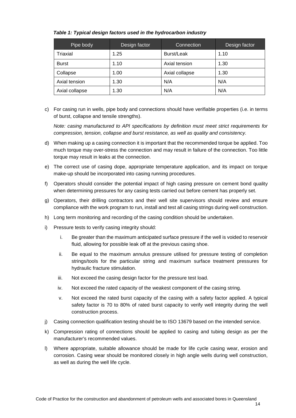| Pipe body       | Design factor | Connection     | Design factor |
|-----------------|---------------|----------------|---------------|
| <b>Triaxial</b> | 1.25          | Burst/Leak     | 1.10          |
| <b>Burst</b>    | 1.10          | Axial tension  | 1.30          |
| Collapse        | 1.00          | Axial collapse | 1.30          |
| Axial tension   | 1.30          | N/A            | N/A           |
| Axial collapse  | 1.30          | N/A            | N/A           |

<span id="page-19-0"></span>*Table 1: Typical design factors used in the hydrocarbon industry* 

c) For casing run in wells, pipe body and connections should have verifiable properties (i.e. in terms of burst, collapse and tensile strengths).

*Note: casing manufactured to API specifications by definition must meet strict requirements for compression, tension, collapse and burst resistance, as well as quality and consistency.*

- d) When making up a casing connection it is important that the recommended torque be applied. Too much torque may over-stress the connection and may result in failure of the connection. Too little torque may result in leaks at the connection.
- e) The correct use of casing dope, appropriate temperature application, and its impact on torque make-up should be incorporated into casing running procedures.
- f) Operators should consider the potential impact of high casing pressure on cement bond quality when determining pressures for any casing tests carried out before cement has properly set.
- g) Operators, their drilling contractors and their well site supervisors should review and ensure compliance with the work program to run, install and test all casing strings during well construction.
- h) Long term monitoring and recording of the casing condition should be undertaken.
- i) Pressure tests to verify casing integrity should:
	- i. Be greater than the maximum anticipated surface pressure if the well is voided to reservoir fluid, allowing for possible leak off at the previous casing shoe.
	- ii. Be equal to the maximum annulus pressure utilised for pressure testing of completion strings/tools for the particular string and maximum surface treatment pressures for hydraulic fracture stimulation.
	- iii. Not exceed the casing design factor for the pressure test load.
	- iv. Not exceed the rated capacity of the weakest component of the casing string.
	- v. Not exceed the rated burst capacity of the casing with a safety factor applied. A typical safety factor is 70 to 80% of rated burst capacity to verify well integrity during the well construction process.
- j) Casing connection qualification testing should be to ISO 13679 based on the intended service.
- k) Compression rating of connections should be applied to casing and tubing design as per the manufacturer's recommended values.
- l) Where appropriate, suitable allowance should be made for life cycle casing wear, erosion and corrosion. Casing wear should be monitored closely in high angle wells during well construction, as well as during the well life cycle.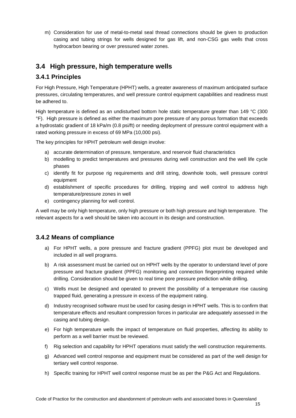m) Consideration for use of metal-to-metal seal thread connections should be given to production casing and tubing strings for wells designed for gas lift, and non-CSG gas wells that cross hydrocarbon bearing or over pressured water zones.

# <span id="page-20-0"></span>**3.4 High pressure, high temperature wells**

## <span id="page-20-1"></span>**3.4.1 Principles**

For High Pressure, High Temperature (HPHT) wells, a greater awareness of maximum anticipated surface pressures, circulating temperatures, and well pressure control equipment capabilities and readiness must be adhered to.

High temperature is defined as an undisturbed bottom hole static temperature greater than 149 °C (300 °F). High pressure is defined as either the maximum pore pressure of any porous formation that exceeds a hydrostatic gradient of 18 kPa/m (0.8 psi/ft) or needing deployment of pressure control equipment with a rated working pressure in excess of 69 MPa (10,000 psi).

The key principles for HPHT petroleum well design involve:

- a) accurate determination of pressure, temperature, and reservoir fluid characteristics
- b) modelling to predict temperatures and pressures during well construction and the well life cycle phases
- c) identify fit for purpose rig requirements and drill string, downhole tools, well pressure control equipment
- d) establishment of specific procedures for drilling, tripping and well control to address high temperature/pressure zones in well
- e) contingency planning for well control.

A well may be only high temperature, only high pressure or both high pressure and high temperature. The relevant aspects for a well should be taken into account in its design and construction.

## <span id="page-20-2"></span>**3.4.2 Means of compliance**

- a) For HPHT wells, a pore pressure and fracture gradient (PPFG) plot must be developed and included in all well programs.
- b) A risk assessment must be carried out on HPHT wells by the operator to understand level of pore pressure and fracture gradient (PPFG) monitoring and connection fingerprinting required while drilling. Consideration should be given to real time pore pressure prediction while drilling.
- c) Wells must be designed and operated to prevent the possibility of a temperature rise causing trapped fluid, generating a pressure in excess of the equipment rating.
- d) Industry recognised software must be used for casing design in HPHT wells. This is to confirm that temperature effects and resultant compression forces in particular are adequately assessed in the casing and tubing design.
- e) For high temperature wells the impact of temperature on fluid properties, affecting its ability to perform as a well barrier must be reviewed.
- f) Rig selection and capability for HPHT operations must satisfy the well construction requirements.
- g) Advanced well control response and equipment must be considered as part of the well design for tertiary well control response.
- h) Specific training for HPHT well control response must be as per the P&G Act and Regulations.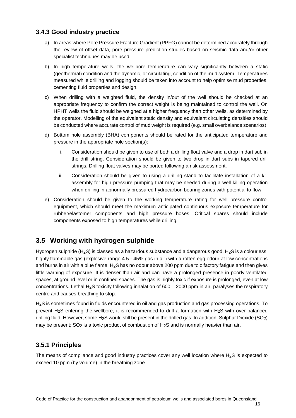### <span id="page-21-0"></span>**3.4.3 Good industry practice**

- a) In areas where Pore Pressure Fracture Gradient (PPFG) cannot be determined accurately through the review of offset data, pore pressure prediction studies based on seismic data and/or other specialist techniques may be used.
- b) In high temperature wells, the wellbore temperature can vary significantly between a static (geothermal) condition and the dynamic, or circulating, condition of the mud system. Temperatures measured while drilling and logging should be taken into account to help optimise mud properties, cementing fluid properties and design.
- c) When drilling with a weighted fluid, the density in/out of the well should be checked at an appropriate frequency to confirm the correct weight is being maintained to control the well. On HPHT wells the fluid should be weighed at a higher frequency than other wells, as determined by the operator. Modelling of the equivalent static density and equivalent circulating densities should be conducted where accurate control of mud weight is required (e.g. small overbalance scenarios).
- d) Bottom hole assembly (BHA) components should be rated for the anticipated temperature and pressure in the appropriate hole section(s):
	- i. Consideration should be given to use of both a drilling float valve and a drop in dart sub in the drill string. Consideration should be given to two drop in dart subs in tapered drill strings. Drilling float valves may be ported following a risk assessment.
	- ii. Consideration should be given to using a drilling stand to facilitate installation of a kill assembly for high pressure pumping that may be needed during a well killing operation when drilling in abnormally pressured hydrocarbon bearing zones with potential to flow.
- e) Consideration should be given to the working temperature rating for well pressure control equipment, which should meet the maximum anticipated continuous exposure temperature for rubber/elastomer components and high pressure hoses. Critical spares should include components exposed to high temperatures while drilling.

# <span id="page-21-1"></span>**3.5 Working with hydrogen sulphide**

Hydrogen sulphide (H2S) is classed as a hazardous substance and a dangerous good. H2S is a colourless, highly flammable gas (explosive range 4.5 - 45% gas in air) with a rotten egg odour at low concentrations and burns in air with a blue flame. H2S has no odour above 200 ppm due to olfactory fatigue and then gives little warning of exposure. It is denser than air and can have a prolonged presence in poorly ventilated spaces, at ground level or in confined spaces. The gas is highly toxic if exposure is prolonged, even at low concentrations. Lethal H2S toxicity following inhalation of 600 – 2000 ppm in air, paralyses the respiratory centre and causes breathing to stop.

H2S is sometimes found in fluids encountered in oil and gas production and gas processing operations. To prevent H2S entering the wellbore, it is recommended to drill a formation with H2S with over-balanced drilling fluid. However, some H2S would still be present in the drilled gas. In addition, Sulphur Dioxide (SO2) may be present; SO2 is a toxic product of combustion of H2S and is normally heavier than air.

## <span id="page-21-2"></span>**3.5.1 Principles**

The means of compliance and good industry practices cover any well location where  $H_2S$  is expected to exceed 10 ppm (by volume) in the breathing zone.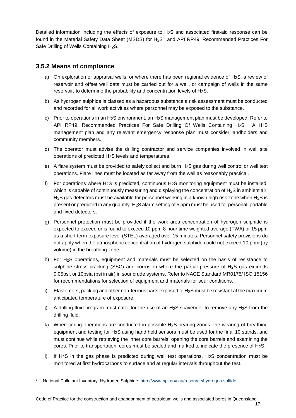Detailed information including the effects of exposure to H2S and associated first-aid response can be found in the Material Safety Data Sheet (MSDS) for H<sub>2</sub>S<sup>[3](#page-22-1)</sup> and API RP49, Recommended Practices For Safe Drilling of Wells Containing H2S.

### <span id="page-22-0"></span>**3.5.2 Means of compliance**

- a) On exploration or appraisal wells, or where there has been regional evidence of H<sub>2</sub>S, a review of reservoir and offset well data must be carried out for a well, or campaign of wells in the same reservoir, to determine the probability and concentration levels of H2S.
- b) As hydrogen sulphide is classed as a hazardous substance a risk assessment must be conducted and recorded for all work activities where personnel may be exposed to the substance.
- c) Prior to operations in an H<sub>2</sub>S environment, an H<sub>2</sub>S management plan must be developed. Refer to API RP49, Recommended Practices For Safe Drilling Of Wells Containing H<sub>2</sub>S. A H<sub>2</sub>S management plan and any relevant emergency response plan must consider landholders and community members.
- d) The operator must advise the drilling contractor and service companies involved in well site operations of predicted H2S levels and temperatures.
- e) A flare system must be provided to safely collect and burn H2S gas during well control or well test operations. Flare lines must be located as far away from the well as reasonably practical.
- f) For operations where H<sub>2</sub>S is predicted, continuous H<sub>2</sub>S monitoring equipment must be installed, which is capable of continuously measuring and displaying the concentration of  $H_2S$  in ambient air. H2S gas detectors must be available for personnel working in a known high risk zone when H2S is present or predicted in any quantity. H<sub>2</sub>S alarm setting of 5 ppm must be used for personal, portable and fixed detectors.
- g) Personnel protection must be provided if the work area concentration of hydrogen sulphide is expected to exceed or is found to exceed 10 ppm 8-hour time weighted average (TWA) or 15 ppm as a short term exposure level (STEL) averaged over 15 minutes. Personnel safety provisions do not apply when the atmospheric concentration of hydrogen sulphide could not exceed 10 ppm (by volume) in the breathing zone.
- h) For H2S operations, equipment and materials must be selected on the basis of resistance to sulphide stress cracking (SSC) and corrosion where the partial pressure of H2S gas exceeds 0.05psi, or 10psia (psi in air) in sour crude systems. Refer to NACE Standard MR0175/ ISO 15156 for recommendations for selection of equipment and materials for sour conditions.
- i) Elastomers, packing and other non-ferrous parts exposed to  $H_2S$  must be resistant at the maximum anticipated temperature of exposure.
- i) A drilling fluid program must cater for the use of an H<sub>2</sub>S scavenger to remove any H<sub>2</sub>S from the drilling fluid.
- k) When coring operations are conducted in possible H2S bearing zones, the wearing of breathing equipment and testing for H2S using hand held sensors must be used for the final 10 stands, and must continue while retrieving the inner core barrels, opening the core barrels and examining the cores. Prior to transportation, cores must be sealed and marked to indicate the presence of H2S.
- l) If H2S in the gas phase is predicted during well test operations, H2S concentration must be monitored at first hydrocarbons to surface and at regular intervals throughout the test.

<span id="page-22-1"></span><sup>3</sup> National Pollutant Inventory: Hydrogen Sulphide:<http://www.npi.gov.au/resource/hydrogen-sulfide>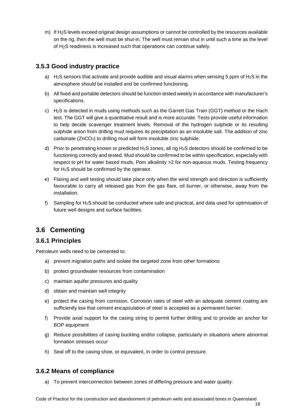m) If H2S levels exceed original design assumptions or cannot be controlled by the resources available on the rig, then the well must be shut-in. The well must remain shut in until such a time as the level of H2S readiness is increased such that operations can continue safely.

## <span id="page-23-0"></span>**3.5.3 Good industry practice**

- a) H<sub>2</sub>S sensors that activate and provide audible and visual alarms when sensing 5 ppm of H<sub>2</sub>S in the atmosphere should be installed and be confirmed functioning.
- b) All fixed and portable detectors should be function tested weekly in accordance with manufacturer's specifications.
- c) H2S is detected in muds using methods such as the Garrett Gas Train (GGT) method or the Hach test. The GGT will give a quantitative result and is more accurate. Tests provide useful information to help decide scavenger treatment levels. Removal of the hydrogen sulphide or its resulting sulphide anion from drilling mud requires its precipitation as an insoluble salt. The addition of zinc carbonate (ZnCO<sub>3</sub>) to drilling mud will form insoluble zinc sulphide.
- d) Prior to penetrating known or predicted H<sub>2</sub>S zones, all rig H<sub>2</sub>S detectors should be confirmed to be functioning correctly and tested. Mud should be confirmed to be within specification, especially with respect to pH for water based muds, Pom alkalinity >2 for non-aqueous muds. Testing frequency for H2S should be confirmed by the operator.
- e) Flaring and well testing should take place only when the wind strength and direction is sufficiently favourable to carry all released gas from the gas flare, oil burner, or otherwise, away from the installation.
- f) Sampling for  $H_2S$  should be conducted where safe and practical, and data used for optimisation of future well designs and surface facilities.

# <span id="page-23-1"></span>**3.6 Cementing**

### <span id="page-23-2"></span>**3.6.1 Principles**

Petroleum wells need to be cemented to:

- a) prevent migration paths and isolate the targeted zone from other formations
- b) protect groundwater resources from contamination
- c) maintain aquifer pressures and quality
- d) obtain and maintain well integrity
- e) protect the casing from corrosion. Corrosion rates of steel with an adequate cement coating are sufficiently low that cement encapsulation of steel is accepted as a permanent barrier.
- f) Provide axial support for the casing string to permit further drilling and to provide an anchor for BOP equipment
- g) Reduce possibilities of casing buckling and/or collapse, particularly in situations where abnormal formation stresses occur
- h) Seal off to the casing shoe, or equivalent, in order to control pressure.

#### <span id="page-23-3"></span>**3.6.2 Means of compliance**

a) To prevent interconnection between zones of differing pressure and water quality: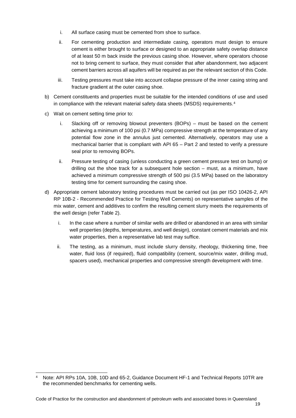- i. All surface casing must be cemented from shoe to surface.
- ii. For cementing production and intermediate casing, operators must design to ensure cement is either brought to surface or designed to an appropriate safety overlap distance of at least 50 m back inside the previous casing shoe. However, where operators choose not to bring cement to surface, they must consider that after abandonment, two adjacent cement barriers across all aquifers will be required as per the relevant section of this Code.
- iii. Testing pressures must take into account collapse pressure of the inner casing string and fracture gradient at the outer casing shoe.
- b) Cement constituents and properties must be suitable for the intended conditions of use and used in compliance with the relevant material safety data sheets (MSDS) requirements.<sup>[4](#page-24-0)</sup>
- c) Wait on cement setting time prior to:
	- i. Slacking off or removing blowout preventers (BOPs) must be based on the cement achieving a minimum of 100 psi (0.7 MPa) compressive strength at the temperature of any potential flow zone in the annulus just cemented. Alternatively, operators may use a mechanical barrier that is compliant with API 65 – Part 2 and tested to verify a pressure seal prior to removing BOPs.
	- ii. Pressure testing of casing (unless conducting a green cement pressure test on bump) or drilling out the shoe track for a subsequent hole section – must, as a minimum, have achieved a minimum compressive strength of 500 psi (3.5 MPa) based on the laboratory testing time for cement surrounding the casing shoe.
- d) Appropriate cement laboratory testing procedures must be carried out (as per ISO 10426-2, API RP 10B-2 - Recommended Practice for Testing Well Cements) on representative samples of the mix water, cement and additives to confirm the resulting cement slurry meets the requirements of the well design (refer Table 2).
	- i. In the case where a number of similar wells are drilled or abandoned in an area with similar well properties (depths, temperatures, and well design), constant cement materials and mix water properties, then a representative lab test may suffice.
	- ii. The testing, as a minimum, must include slurry density, rheology, thickening time, free water, fluid loss (if required), fluid compatibility (cement, source/mix water, drilling mud, spacers used), mechanical properties and compressive strength development with time.

<span id="page-24-0"></span><sup>4</sup> Note: API RPs 10A, 10B, 10D and 65-2, Guidance Document HF-1 and Technical Reports 10TR are the recommended benchmarks for cementing wells.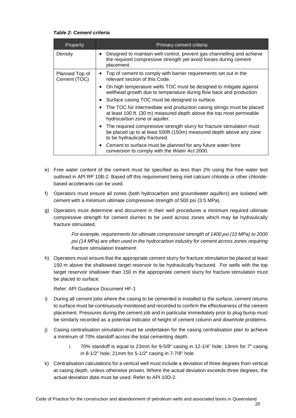#### <span id="page-25-0"></span>*Table 2: Cement criteria*

| Property                       | Primary cement criteria                                                                                                                                                                   |  |  |
|--------------------------------|-------------------------------------------------------------------------------------------------------------------------------------------------------------------------------------------|--|--|
| Density                        | Designed to maintain well control, prevent gas channelling and achieve<br>$\bullet$<br>the required compressive strength yet avoid losses during cement<br>placement.                     |  |  |
| Planned Top of<br>Cement (TOC) | • Top of cement to comply with barrier requirements set out in the<br>relevant section of this Code.                                                                                      |  |  |
|                                | On high temperature wells TOC must be designed to mitigate against<br>$\bullet$<br>wellhead growth due to temperature during flow back and production                                     |  |  |
|                                | Surface casing TOC must be designed to surface.<br>$\bullet$                                                                                                                              |  |  |
|                                | The TOC for intermediate and production casing strings must be placed<br>$\bullet$<br>at least 100 ft. (30 m) measured depth above the top most permeable<br>hydrocarbon zone or aquifer. |  |  |
|                                | • The required compressive strength slurry for fracture stimulation must<br>be placed up to at least 500ft (150m) measured depth above any zone<br>to be hydraulically fractured.         |  |  |
|                                | Cement to surface must be planned for any future water bore<br>$\bullet$<br>conversion to comply with the Water Act 2000.                                                                 |  |  |

- e) Free water content of the cement must be specified as less than 2% using the free water test outlined in API RP 10B-2. Based off this requirement being met calcium chloride or other chloridebased accelerants can be used.
- f) Operators must ensure all zones (both hydrocarbon and groundwater aquifers) are isolated with cement with a minimum ultimate compressive strength of 500 psi (3.5 MPa).
- g) Operators must determine and document in their well procedures a minimum required ultimate compressive strength for cement slurries to be used across zones which may be hydraulically fracture stimulated.

*For example, requirements for ultimate compressive strength of 1400 psi (10 MPa) to 2000 psi (14 MPa) are often used in the hydrocarbon industry for cement across zones requiring fracture stimulation treatment.*

h) Operators must ensure that the appropriate cement slurry for fracture stimulation be placed at least 150 m above the shallowest target reservoir to be hydraulically fractured. For wells with the top target reservoir shallower than 150 m the appropriate cement slurry for fracture stimulation must be placed to surface.

Refer: API Guidance Document HF-1

- i) During all cement jobs where the casing to be cemented is installed to the surface, cement returns to surface must be continuously monitored and recorded to confirm the effectiveness of the cement placement. Pressures during the cement job and in particular immediately prior to plug bump must be similarly recorded as a potential indicator of height of cement column and downhole problems.
- j) Casing centralisation simulation must be undertaken for the casing centralisation plan to achieve a minimum of 70% standoff across the total cementing depth.
	- i. 70% standoff is equal to 23mm for 9-5/8" casing in 12-1/4" hole; 13mm for 7" casing in 8-1/2" hole; 21mm for 5-1/2" casing in 7-7/8" hole
- k) Centralisation calculations for a vertical well must include a deviation of three degrees from vertical at casing depth, unless otherwise proven. Where the actual deviation exceeds three degrees, the actual deviation data must be used. Refer to API 10D-2.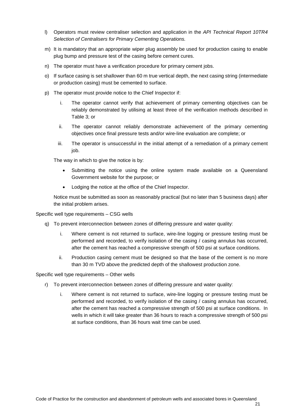- l) Operators must review centraliser selection and application in the *API Technical Report 10TR4 Selection of Centralisers for Primary Cementing Operations.*
- m) It is mandatory that an appropriate wiper plug assembly be used for production casing to enable plug bump and pressure test of the casing before cement cures.
- n) The operator must have a verification procedure for primary cement jobs.
- o) If surface casing is set shallower than 60 m true vertical depth, the next casing string (intermediate or production casing) must be cemented to surface.
- p) The operator must provide notice to the Chief Inspector if:
	- i. The operator cannot verify that achievement of primary cementing objectives can be reliably demonstrated by utilising at least three of the verification methods described in Table 3; or
	- ii. The operator cannot reliably demonstrate achievement of the primary cementing objectives once final pressure tests and/or wire-line evaluation are complete; or
	- iii. The operator is unsuccessful in the initial attempt of a remediation of a primary cement job.

The way in which to give the notice is by:

- Submitting the notice using the online system made available on a Queensland Government website for the purpose; or
- Lodging the notice at the office of the Chief Inspector.

Notice must be submitted as soon as reasonably practical (but no later than 5 business days) after the initial problem arises.

Specific well type requirements – CSG wells

- q) To prevent interconnection between zones of differing pressure and water quality:
	- i. Where cement is not returned to surface, wire-line logging or pressure testing must be performed and recorded, to verify isolation of the casing / casing annulus has occurred, after the cement has reached a compressive strength of 500 psi at surface conditions.
	- ii. Production casing cement must be designed so that the base of the cement is no more than 30 m TVD above the predicted depth of the shallowest production zone.

Specific well type requirements – Other wells

- r) To prevent interconnection between zones of differing pressure and water quality:
	- i. Where cement is not returned to surface, wire-line logging or pressure testing must be performed and recorded, to verify isolation of the casing / casing annulus has occurred, after the cement has reached a compressive strength of 500 psi at surface conditions. In wells in which it will take greater than 36 hours to reach a compressive strength of 500 psi at surface conditions, than 36 hours wait time can be used.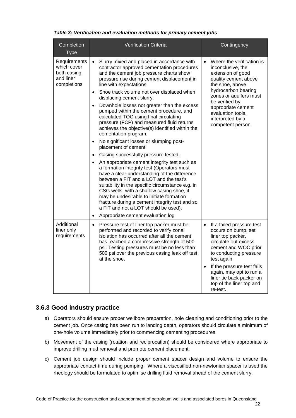<span id="page-27-1"></span>

| Table 3: Verification and evaluation methods for primary cement jobs |  |  |
|----------------------------------------------------------------------|--|--|
|----------------------------------------------------------------------|--|--|

| Completion<br><b>Type</b>                                              | <b>Verification Criteria</b>                                                                                                                                                                                                                                                                                                                                                                                                                                                                                                                                                                                                                                                                                                                                                                                                                                                                                                                                                                                                                                                                                           | Contingency                                                                                                                                                                                                                                                                                                           |
|------------------------------------------------------------------------|------------------------------------------------------------------------------------------------------------------------------------------------------------------------------------------------------------------------------------------------------------------------------------------------------------------------------------------------------------------------------------------------------------------------------------------------------------------------------------------------------------------------------------------------------------------------------------------------------------------------------------------------------------------------------------------------------------------------------------------------------------------------------------------------------------------------------------------------------------------------------------------------------------------------------------------------------------------------------------------------------------------------------------------------------------------------------------------------------------------------|-----------------------------------------------------------------------------------------------------------------------------------------------------------------------------------------------------------------------------------------------------------------------------------------------------------------------|
| Requirements<br>which cover<br>both casing<br>and liner<br>completions | Slurry mixed and placed in accordance with<br>$\bullet$<br>contractor approved cementation procedures<br>and the cement job pressure charts show<br>pressure rise during cement displacement in<br>line with expectations.<br>Shoe track volume not over displaced when<br>$\bullet$<br>displacing cement slurry.<br>Downhole losses not greater than the excess<br>pumped within the cement procedure, and<br>calculated TOC using final circulating<br>pressure (FCP) and measured fluid returns<br>achieves the objective(s) identified within the<br>cementation program.<br>No significant losses or slumping post-<br>$\bullet$<br>placement of cement.<br>Casing successfully pressure tested.<br>$\bullet$<br>An appropriate cement integrity test such as<br>$\bullet$<br>a formation integrity test (Operators must<br>have a clear understanding of the difference<br>between a FIT and a LOT and the test's<br>suitability in the specific circumstance e.g. in<br>CSG wells, with a shallow casing shoe, it<br>may be undesirable to initiate formation<br>fracture during a cement integrity test and so | Where the verification is<br>$\bullet$<br>inconclusive, the<br>extension of good<br>quality cement above<br>the shoe, above<br>hydrocarbon bearing<br>zones or aquifers must<br>be verified by<br>appropriate cement<br>evaluation tools,<br>interpreted by a<br>competent person.                                    |
|                                                                        | a FIT and not a LOT should be used).<br>Appropriate cement evaluation log                                                                                                                                                                                                                                                                                                                                                                                                                                                                                                                                                                                                                                                                                                                                                                                                                                                                                                                                                                                                                                              |                                                                                                                                                                                                                                                                                                                       |
| Additional<br>liner only<br>requirements                               | Pressure test of liner top packer must be<br>$\bullet$<br>performed and recorded to verify zonal<br>isolation has occurred after all the cement<br>has reached a compressive strength of 500<br>psi. Testing pressures must be no less than<br>500 psi over the previous casing leak off test<br>at the shoe.                                                                                                                                                                                                                                                                                                                                                                                                                                                                                                                                                                                                                                                                                                                                                                                                          | If a failed pressure test<br>$\bullet$<br>occurs on bump, set<br>liner top packer,<br>circulate out excess<br>cement and WOC prior<br>to conducting pressure<br>test again.<br>If the pressure test fails<br>$\bullet$<br>again, may opt to run a<br>liner tie back packer on<br>top of the liner top and<br>re-test. |

## <span id="page-27-0"></span>**3.6.3 Good industry practice**

- a) Operators should ensure proper wellbore preparation, hole cleaning and conditioning prior to the cement job. Once casing has been run to landing depth, operators should circulate a minimum of one-hole volume immediately prior to commencing cementing procedures.
- b) Movement of the casing (rotation and reciprocation) should be considered where appropriate to improve drilling mud removal and promote cement placement.
- c) Cement job design should include proper cement spacer design and volume to ensure the appropriate contact time during pumping. Where a viscosified non-newtonian spacer is used the rheology should be formulated to optimise drilling fluid removal ahead of the cement slurry.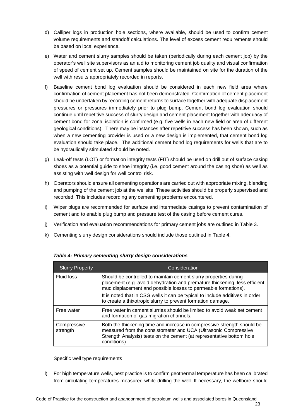- d) Calliper logs in production hole sections, where available, should be used to confirm cement volume requirements and standoff calculations. The level of excess cement requirements should be based on local experience.
- e) Water and cement slurry samples should be taken (periodically during each cement job) by the operator's well site supervisors as an aid to monitoring cement job quality and visual confirmation of speed of cement set up. Cement samples should be maintained on site for the duration of the well with results appropriately recorded in reports.
- f) Baseline cement bond log evaluation should be considered in each new field area where confirmation of cement placement has not been demonstrated. Confirmation of cement placement should be undertaken by recording cement returns to surface together with adequate displacement pressures or pressures immediately prior to plug bump. Cement bond log evaluation should continue until repetitive success of slurry design and cement placement together with adequacy of cement bond for zonal isolation is confirmed (e.g. five wells in each new field or area of different geological conditions). There may be instances after repetitive success has been shown, such as when a new cementing provider is used or a new design is implemented, that cement bond log evaluation should take place. The additional cement bond log requirements for wells that are to be hydraulically stimulated should be noted.
- g) Leak-off tests (LOT) or formation integrity tests (FIT) should be used on drill out of surface casing shoes as a potential guide to shoe integrity (i.e. good cement around the casing shoe) as well as assisting with well design for well control risk.
- h) Operators should ensure all cementing operations are carried out with appropriate mixing, blending and pumping of the cement job at the wellsite. These activities should be properly supervised and recorded. This includes recording any cementing problems encountered.
- i) Wiper plugs are recommended for surface and intermediate casings to prevent contamination of cement and to enable plug bump and pressure test of the casing before cement cures.
- j) Verification and evaluation recommendations for primary cement jobs are outlined in Table 3.
- k) Cementing slurry design considerations should include those outlined in Table 4.

| <b>Slurry Property</b>  | Consideration                                                                                                                                                                                                                       |  |
|-------------------------|-------------------------------------------------------------------------------------------------------------------------------------------------------------------------------------------------------------------------------------|--|
| <b>Fluid loss</b>       | Should be controlled to maintain cement slurry properties during<br>placement (e.g. avoid dehydration and premature thickening, less efficient<br>mud displacement and possible losses to permeable formations).                    |  |
|                         | It is noted that in CSG wells it can be typical to include additives in order<br>to create a thixotropic slurry to prevent formation damage.                                                                                        |  |
| Free water              | Free water in cement slurries should be limited to avoid weak set cement<br>and formation of gas migration channels.                                                                                                                |  |
| Compressive<br>strength | Both the thickening time and increase in compressive strength should be<br>measured from the consistometer and UCA (Ultrasonic Compressive<br>Strength Analysis) tests on the cement (at representative bottom hole<br>conditions). |  |

#### <span id="page-28-0"></span>*Table 4: Primary cementing slurry design considerations*

Specific well type requirements

l) For high temperature wells, best practice is to confirm geothermal temperature has been calibrated from circulating temperatures measured while drilling the well. If necessary, the wellbore should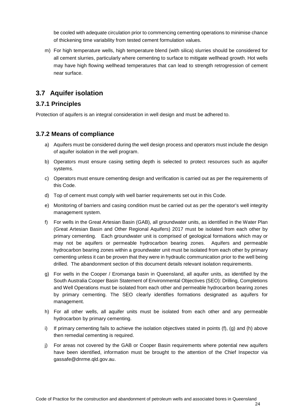be cooled with adequate circulation prior to commencing cementing operations to minimise chance of thickening time variability from tested cement formulation values.

m) For high temperature wells, high temperature blend (with silica) slurries should be considered for all cement slurries, particularly where cementing to surface to mitigate wellhead growth. Hot wells may have high flowing wellhead temperatures that can lead to strength retrogression of cement near surface.

## <span id="page-29-0"></span>**3.7 Aquifer isolation**

### <span id="page-29-1"></span>**3.7.1 Principles**

Protection of aquifers is an integral consideration in well design and must be adhered to.

### <span id="page-29-2"></span>**3.7.2 Means of compliance**

- a) Aquifers must be considered during the well design process and operators must include the design of aquifer isolation in the well program.
- b) Operators must ensure casing setting depth is selected to protect resources such as aquifer systems.
- c) Operators must ensure cementing design and verification is carried out as per the requirements of this Code.
- d) Top of cement must comply with well barrier requirements set out in this Code.
- e) Monitoring of barriers and casing condition must be carried out as per the operator's well integrity management system.
- f) For wells in the Great Artesian Basin (GAB), all groundwater units, as identified in the Water Plan (Great Artesian Basin and Other Regional Aquifers) 2017 must be isolated from each other by primary cementing. Each groundwater unit is comprised of geological formations which may or may not be aquifers or permeable hydrocarbon bearing zones. Aquifers and permeable hydrocarbon bearing zones within a groundwater unit must be isolated from each other by primary cementing unless it can be proven that they were in hydraulic communication prior to the well being drilled. The abandonment section of this document details relevant isolation requirements.
- g) For wells in the Cooper / Eromanga basin in Queensland, all aquifer units, as identified by the South Australia Cooper Basin Statement of Environmental Objectives (SEO): Drilling, Completions and Well Operations must be isolated from each other and permeable hydrocarbon bearing zones by primary cementing. The SEO clearly identifies formations designated as aquifers for management.
- h) For all other wells, all aquifer units must be isolated from each other and any permeable hydrocarbon by primary cementing.
- i) If primary cementing fails to achieve the isolation objectives stated in points  $(f)$ ,  $(g)$  and  $(h)$  above then remedial cementing is required.
- j) For areas not covered by the GAB or Cooper Basin requirements where potential new aquifers have been identified, information must be brought to the attention of the Chief Inspector via gassafe@dnrme.qld.gov.au.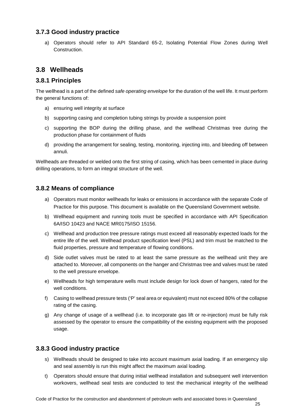### <span id="page-30-0"></span>**3.7.3 Good industry practice**

a) Operators should refer to API Standard 65-2, Isolating Potential Flow Zones during Well Construction.

## <span id="page-30-1"></span>**3.8 Wellheads**

#### <span id="page-30-2"></span>**3.8.1 Principles**

The wellhead is a part of the defined *safe operating envelope* for the duration of the well life. It must perform the general functions of:

- a) ensuring well integrity at surface
- b) supporting casing and completion tubing strings by provide a suspension point
- c) supporting the BOP during the drilling phase, and the wellhead Christmas tree during the production phase for containment of fluids
- d) providing the arrangement for sealing, testing, monitoring, injecting into, and bleeding off between annuli.

Wellheads are threaded or welded onto the first string of casing, which has been cemented in place during drilling operations, to form an integral structure of the well.

### <span id="page-30-3"></span>**3.8.2 Means of compliance**

- a) Operators must monitor wellheads for leaks or emissions in accordance with the separate Code of Practice for this purpose. This document is available on the Queensland Government website.
- b) Wellhead equipment and running tools must be specified in accordance with API Specification 6A/ISO 10423 and NACE MR0175/ISO 15156.
- c) Wellhead and production tree pressure ratings must exceed all reasonably expected loads for the entire life of the well. Wellhead product specification level (PSL) and trim must be matched to the fluid properties, pressure and temperature of flowing conditions.
- d) Side outlet valves must be rated to at least the same pressure as the wellhead unit they are attached to. Moreover, all components on the hanger and Christmas tree and valves must be rated to the well pressure envelope.
- e) Wellheads for high temperature wells must include design for lock down of hangers, rated for the well conditions.
- f) Casing to wellhead pressure tests ('P' seal area or equivalent) must not exceed 80% of the collapse rating of the casing.
- g) Any change of usage of a wellhead (i.e. to incorporate gas lift or re-injection) must be fully risk assessed by the operator to ensure the compatibility of the existing equipment with the proposed usage.

#### <span id="page-30-4"></span>**3.8.3 Good industry practice**

- s) Wellheads should be designed to take into account maximum axial loading. If an emergency slip and seal assembly is run this might affect the maximum axial loading.
- t) Operators should ensure that during initial wellhead installation and subsequent well intervention workovers, wellhead seal tests are conducted to test the mechanical integrity of the wellhead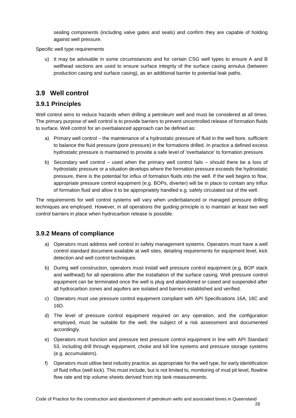sealing components (including valve gates and seals) and confirm they are capable of holding against well pressure.

#### Specific well type requirements

u) It may be advisable in some circumstances and for certain CSG well types to ensure A and B wellhead sections are used to ensure surface integrity of the surface casing annulus (between production casing and surface casing), as an additional barrier to potential leak paths.

## <span id="page-31-0"></span>**3.9 Well control**

#### <span id="page-31-1"></span>**3.9.1 Principles**

Well control aims to reduce hazards when drilling a petroleum well and must be considered at all times. The primary purpose of well control is to provide barriers to prevent uncontrolled release of formation fluids to surface. Well control for an overbalanced approach can be defined as:

- a) Primary well control the maintenance of a hydrostatic pressure of fluid in the well bore, sufficient to balance the fluid pressure (pore pressure) in the formations drilled. In practice a defined excess hydrostatic pressure is maintained to provide a safe level of 'overbalance' to formation pressure.
- b) Secondary well control used when the primary well control fails should there be a loss of hydrostatic pressure or a situation develops where the formation pressure exceeds the hydrostatic pressure, there is the potential for influx of formation fluids into the well. If the well begins to flow, appropriate pressure control equipment (e.g. BOPs, diverter) will be in place to contain any influx of formation fluid and allow it to be appropriately handled e.g. safely circulated out of the well.

The requirements for well control systems will vary when underbalanced or managed pressure drilling techniques are employed. However, in all operations the guiding principle is to maintain at least two well control barriers in place when hydrocarbon release is possible.

#### <span id="page-31-2"></span>**3.9.2 Means of compliance**

- a) Operators must address well control in safety management systems. Operators must have a well control standard document available at well sites, detailing requirements for equipment level, kick detection and well control techniques.
- b) During well construction, operators must install well pressure control equipment (e.g. BOP stack and wellhead) for all operations after the installation of the surface casing. Well pressure control equipment can be terminated once the well is plug and abandoned or cased and suspended after all hydrocarbon zones and aquifers are isolated and barriers established and verified.
- c) Operators must use pressure control equipment compliant with API Specifications 16A, 16C and 16D.
- d) The level of pressure control equipment required on any operation, and the configuration employed, must be suitable for the well, the subject of a risk assessment and documented accordingly.
- e) Operators must function and pressure test pressure control equipment in line with API Standard 53, including drill through equipment, choke and kill line systems and pressure storage systems (e.g. accumulators).
- f) Operators must utilise best industry practice, as appropriate for the well type, for early identification of fluid influx (well kick). This must include, but is not limited to, monitoring of mud pit level, flowline flow rate and trip volume sheets derived from trip tank measurements.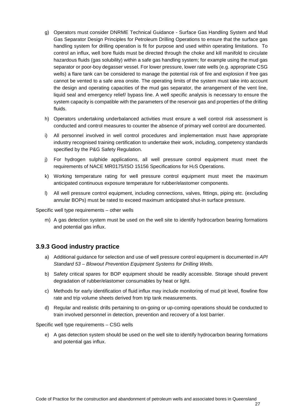- g) Operators must consider DNRME Technical Guidance Surface Gas Handling System and Mud Gas Separator Design Principles for Petroleum Drilling Operations to ensure that the surface gas handling system for drilling operation is fit for purpose and used within operating limitations. To control an influx, well bore fluids must be directed through the choke and kill manifold to circulate hazardous fluids (gas solubility) within a safe gas handling system; for example using the mud gas separator or poor-boy degasser vessel. For lower pressure, lower rate wells (e.g. appropriate CSG wells) a flare tank can be considered to manage the potential risk of fire and explosion if free gas cannot be vented to a safe area onsite. The operating limits of the system must take into account the design and operating capacities of the mud gas separator, the arrangement of the vent line, liquid seal and emergency relief/ bypass line. A well specific analysis is necessary to ensure the system capacity is compatible with the parameters of the reservoir gas and properties of the drilling fluids.
- h) Operators undertaking underbalanced activities must ensure a well control risk assessment is conducted and control measures to counter the absence of primary well control are documented.
- i) All personnel involved in well control procedures and implementation must have appropriate industry recognised training certification to undertake their work, including, competency standards specified by the P&G Safety Regulation.
- j) For hydrogen sulphide applications, all well pressure control equipment must meet the requirements of NACE MR0175/ISO 15156 Specifications for H2S Operations.
- k) Working temperature rating for well pressure control equipment must meet the maximum anticipated continuous exposure temperature for rubber/elastomer components.
- l) All well pressure control equipment, including connections, valves, fittings, piping etc. (excluding annular BOPs) must be rated to exceed maximum anticipated shut-in surface pressure.

Specific well type requirements – other wells

m) A gas detection system must be used on the well site to identify hydrocarbon bearing formations and potential gas influx.

#### <span id="page-32-0"></span>**3.9.3 Good industry practice**

- a) Additional guidance for selection and use of well pressure control equipment is documented in *API Standard 53 – Blowout Prevention Equipment Systems for Drilling Wells.*
- b) Safety critical spares for BOP equipment should be readily accessible. Storage should prevent degradation of rubber/elastomer consumables by heat or light.
- c) Methods for early identification of fluid influx may include monitoring of mud pit level, flowline flow rate and trip volume sheets derived from trip tank measurements.
- d) Regular and realistic drills pertaining to on-going or up-coming operations should be conducted to train involved personnel in detection, prevention and recovery of a lost barrier.

Specific well type requirements – CSG wells

e) A gas detection system should be used on the well site to identify hydrocarbon bearing formations and potential gas influx.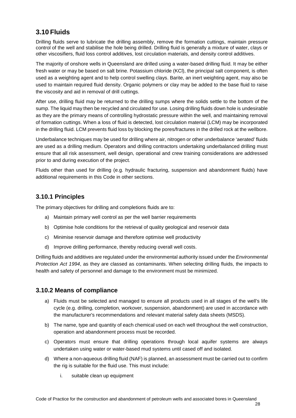# <span id="page-33-0"></span>**3.10 Fluids**

Drilling fluids serve to lubricate the drilling assembly, remove the formation cuttings, maintain pressure control of the well and stabilise the hole being drilled. Drilling fluid is generally a mixture of water, clays or other viscosifiers, fluid loss control additives, lost circulation materials, and density control additives.

The majority of onshore wells in Queensland are drilled using a water-based drilling fluid. It may be either fresh water or may be based on salt brine. Potassium chloride (KCl), the principal salt component, is often used as a weighting agent and to help control swelling clays. Barite, an inert weighting agent, may also be used to maintain required fluid density. Organic polymers or clay may be added to the base fluid to raise the viscosity and aid in removal of drill cuttings.

After use, drilling fluid may be returned to the drilling sumps where the solids settle to the bottom of the sump. The liquid may then be recycled and circulated for use. Losing drilling fluids down hole is undesirable as they are the primary means of controlling hydrostatic pressure within the well, and maintaining removal of formation cuttings. When a loss of fluid is detected, lost circulation material (LCM) may be incorporated in the drilling fluid. LCM prevents fluid loss by blocking the pores/fractures in the drilled rock at the wellbore.

Underbalance techniques may be used for drilling where air, nitrogen or other underbalance 'aerated' fluids are used as a drilling medium. Operators and drilling contractors undertaking underbalanced drilling must ensure that all risk assessment, well design, operational and crew training considerations are addressed prior to and during execution of the project.

Fluids other than used for drilling (e.g. hydraulic fracturing, suspension and abandonment fluids) have additional requirements in this Code in other sections.

## <span id="page-33-1"></span>**3.10.1 Principles**

The primary objectives for drilling and completions fluids are to:

- a) Maintain primary well control as per the well barrier requirements
- b) Optimise hole conditions for the retrieval of quality geological and reservoir data
- c) Minimise reservoir damage and therefore optimise well productivity
- d) Improve drilling performance, thereby reducing overall well costs.

Drilling fluids and additives are regulated under the environmental authority issued under the *Environmental Protection Act 1994*, as they are classed as contaminants. When selecting drilling fluids, the impacts to health and safety of personnel and damage to the environment must be minimized.

## <span id="page-33-2"></span>**3.10.2 Means of compliance**

- a) Fluids must be selected and managed to ensure all products used in all stages of the well's life cycle (e.g. drilling, completion, workover, suspension, abandonment) are used in accordance with the manufacturer's recommendations and relevant material safety data sheets (MSDS).
- b) The name, type and quantity of each chemical used on each well throughout the well construction, operation and abandonment process must be recorded.
- c) Operators must ensure that drilling operations through local aquifer systems are always undertaken using water or water-based mud systems until cased off and isolated.
- d) Where a non-aqueous drilling fluid (NAF) is planned, an assessment must be carried out to confirm the rig is suitable for the fluid use. This must include:
	- i. suitable clean up equipment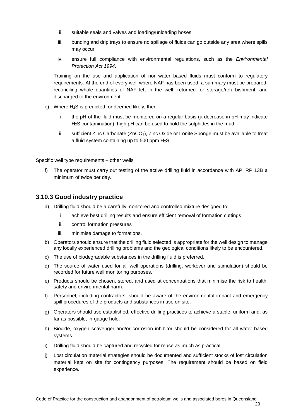- ii. suitable seals and valves and loading/unloading hoses
- iii. bunding and drip trays to ensure no spillage of fluids can go outside any area where spills may occur
- iv. ensure full compliance with environmental regulations, such as the *Environmental Protection Act 1994*.

Training on the use and application of non-water based fluids must conform to regulatory requirements. At the end of every well where NAF has been used, a summary must be prepared, reconciling whole quantities of NAF left in the well, returned for storage/refurbishment, and discharged to the environment.

- e) Where H2S is predicted, or deemed likely, then:
	- i. the pH of the fluid must be monitored on a regular basis (a decrease in pH may indicate H2S contamination), high pH can be used to hold the sulphides in the mud
	- ii. sufficient Zinc Carbonate (ZnCO<sub>3</sub>), Zinc Oxide or Ironite Sponge must be available to treat a fluid system containing up to 500 ppm  $H_2S$ .

Specific well type requirements – other wells

f) The operator must carry out testing of the active drilling fluid in accordance with API RP 13B a minimum of twice per day.

#### <span id="page-34-0"></span>**3.10.3 Good industry practice**

- a) Drilling fluid should be a carefully monitored and controlled mixture designed to:
	- i. achieve best drilling results and ensure efficient removal of formation cuttings
	- ii. control formation pressures
	- iii. minimise damage to formations.
- b) Operators should ensure that the drilling fluid selected is appropriate for the well design to manage any locally experienced drilling problems and the geological conditions likely to be encountered.
- c) The use of biodegradable substances in the drilling fluid is preferred.
- d) The source of water used for all well operations (drilling, workover and stimulation) should be recorded for future well monitoring purposes.
- e) Products should be chosen, stored, and used at concentrations that minimise the risk to health, safety and environmental harm.
- f) Personnel, including contractors, should be aware of the environmental impact and emergency spill procedures of the products and substances in use on site.
- g) Operators should use established, effective drilling practices to achieve a stable, uniform and, as far as possible, in-gauge hole.
- h) Biocide, oxygen scavenger and/or corrosion inhibitor should be considered for all water based systems.
- i) Drilling fluid should be captured and recycled for reuse as much as practical.
- j) Lost circulation material strategies should be documented and sufficient stocks of lost circulation material kept on site for contingency purposes. The requirement should be based on field experience.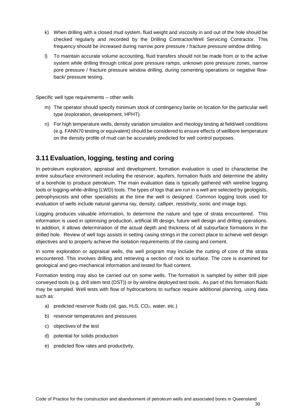- k) When drilling with a closed mud system, fluid weight and viscosity in and out of the hole should be checked regularly and recorded by the Drilling Contractor/Well Servicing Contractor. This frequency should be increased during narrow pore pressure / fracture pressure window drilling.
- l) To maintain accurate volume accounting, fluid transfers should not be made from or to the active system while drilling through critical pore pressure ramps, unknown pore pressure zones, narrow pore pressure / fracture pressure window drilling, during cementing operations or negative flowback/ pressure testing.

Specific well type requirements – other wells

- m) The operator should specify minimum stock of contingency barite on location for the particular well type (exploration, development, HPHT).
- n) For high temperature wells, density variation simulation and rheology testing at field/well conditions (e.g. FANN70 testing or equivalent) should be considered to ensure effects of wellbore temperature on the density profile of mud can be accurately predicted for well control purposes.

# <span id="page-35-0"></span>**3.11 Evaluation, logging, testing and coring**

In petroleum exploration, appraisal and development, formation evaluation is used to characterise the entire subsurface environment including the reservoir, aquifers, formation fluids and determine the ability of a borehole to produce petroleum. The main evaluation data is typically gathered with wireline logging tools or logging-while-drilling (LWD) tools. The types of logs that are run in a well are selected by geologists, petrophysicists and other specialists at the time the well is designed. Common logging tools used for evaluation of wells include natural gamma ray, density, calliper, resistivity, sonic and image logs.

Logging produces valuable information, to determine the nature and type of strata encountered. This information is used in optimising production, artificial lift design, future well design and drilling operations. In addition, it allows determination of the actual depth and thickness of all subsurface formations in the drilled hole. Review of well logs assists in setting casing strings in the correct place to achieve well design objectives and to properly achieve the isolation requirements of the casing and cement.

In some exploration or appraisal wells, the well program may include the cutting of core of the strata encountered. This involves drilling and retrieving a section of rock to surface. The core is examined for geological and geo-mechanical information and tested for fluid content.

Formation testing may also be carried out on some wells. The formation is sampled by either drill pipe conveyed tools (e.g. drill stem test (DST)) or by wireline deployed test tools. As part of this formation fluids may be sampled. Well tests with flow of hydrocarbons to surface require additional planning, using data such as:

- a) predicted reservoir fluids (oil, gas,  $H_2S$ ,  $CO_2$ , water, etc.)
- b) reservoir temperatures and pressures
- c) objectives of the test
- d) potential for solids production
- e) predicted flow rates and productivity.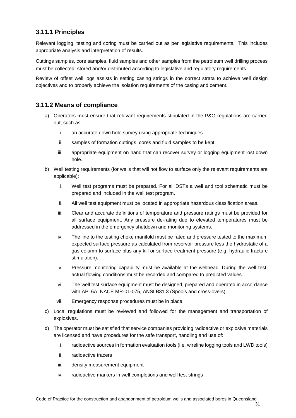#### **3.11.1 Principles**

Relevant logging, testing and coring must be carried out as per legislative requirements. This includes appropriate analysis and interpretation of results.

Cuttings samples, core samples, fluid samples and other samples from the petroleum well drilling process must be collected, stored and/or distributed according to legislative and regulatory requirements.

Review of offset well logs assists in setting casing strings in the correct strata to achieve well design objectives and to properly achieve the isolation requirements of the casing and cement.

#### **3.11.2 Means of compliance**

- a) Operators must ensure that relevant requirements stipulated in the P&G regulations are carried out, such as:
	- i. an accurate down hole survey using appropriate techniques.
	- ii. samples of formation cuttings, cores and fluid samples to be kept.
	- iii. appropriate equipment on hand that can recover survey or logging equipment lost down hole.
- b) Well testing requirements (for wells that will not flow to surface only the relevant requirements are applicable):
	- i. Well test programs must be prepared. For all DSTs a well and tool schematic must be prepared and included in the well test program.
	- ii. All well test equipment must be located in appropriate hazardous classification areas.
	- iii. Clear and accurate definitions of temperature and pressure ratings must be provided for all surface equipment. Any pressure de-rating due to elevated temperatures must be addressed in the emergency shutdown and monitoring systems.
	- iv. The line to the testing choke manifold must be rated and pressure tested to the maximum expected surface pressure as calculated from reservoir pressure less the hydrostatic of a gas column to surface plus any kill or surface treatment pressure (e.g. hydraulic fracture stimulation).
	- v. Pressure monitoring capability must be available at the wellhead. During the well test, actual flowing conditions must be recorded and compared to predicted values.
	- vi. The well test surface equipment must be designed, prepared and operated in accordance with API 6A, NACE MR-01-075, ANSI B31.3 (Spools and cross-overs).
	- vii. Emergency response procedures must be in place.
- c) Local regulations must be reviewed and followed for the management and transportation of explosives.
- d) The operator must be satisfied that service companies providing radioactive or explosive materials are licensed and have procedures for the safe transport, handling and use of:
	- i. radioactive sources in formation evaluation tools (i.e. wireline logging tools and LWD tools)
	- ii. radioactive tracers
	- iii. density measurement equipment
	- iv. radioactive markers in well completions and well test strings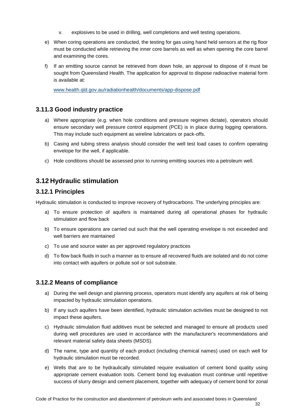- v. explosives to be used in drilling, well completions and well testing operations.
- e) When coring operations are conducted, the testing for gas using hand held sensors at the rig floor must be conducted while retrieving the inner core barrels as well as when opening the core barrel and examining the cores.
- f) If an emitting source cannot be retrieved from down hole, an approval to dispose of it must be sought from Queensland Health. The application for approval to dispose radioactive material form is available at:

[www.health.qld.gov.au/radiationhealth/documents/app-dispose.pdf](http://www.health.qld.gov.au/radiationhealth/documents/app-dispose.pdf%20%0b%0d)

#### **3.11.3 Good industry practice**

- a) Where appropriate (e.g. when hole conditions and pressure regimes dictate), operators should ensure secondary well pressure control equipment (PCE) is in place during logging operations. This may include such equipment as wireline lubricators or pack-offs.
- b) Casing and tubing stress analysis should consider the well test load cases to confirm operating envelope for the well, if applicable.
- c) Hole conditions should be assessed prior to running emitting sources into a petroleum well.

### **3.12 Hydraulic stimulation**

#### **3.12.1 Principles**

Hydraulic stimulation is conducted to improve recovery of hydrocarbons. The underlying principles are:

- a) To ensure protection of aquifers is maintained during all operational phases for hydraulic stimulation and flow back
- b) To ensure operations are carried out such that the well operating envelope is not exceeded and well barriers are maintained
- c) To use and source water as per approved regulatory practices
- d) To flow back fluids in such a manner as to ensure all recovered fluids are isolated and do not come into contact with aquifers or pollute soil or soil substrate.

#### **3.12.2 Means of compliance**

- a) During the well design and planning process, operators must identify any aquifers at risk of being impacted by hydraulic stimulation operations.
- b) If any such aquifers have been identified, hydraulic stimulation activities must be designed to not impact these aquifers.
- c) Hydraulic stimulation fluid additives must be selected and managed to ensure all products used during well procedures are used in accordance with the manufacturer's recommendations and relevant material safety data sheets (MSDS).
- d) The name, type and quantity of each product (including chemical names) used on each well for hydraulic stimulation must be recorded.
- e) Wells that are to be hydraulically stimulated require evaluation of cement bond quality using appropriate cement evaluation tools. Cement bond log evaluation must continue until repetitive success of slurry design and cement placement, together with adequacy of cement bond for zonal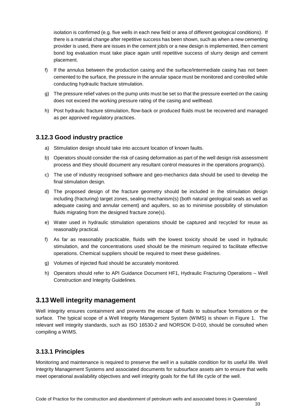isolation is confirmed (e.g. five wells in each new field or area of different geological conditions). If there is a material change after repetitive success has been shown, such as when a new cementing provider is used, there are issues in the cement job/s or a new design is implemented, then cement bond log evaluation must take place again until repetitive success of slurry design and cement placement.

- f) If the annulus between the production casing and the surface/intermediate casing has not been cemented to the surface, the pressure in the annular space must be monitored and controlled while conducting hydraulic fracture stimulation.
- g) The pressure relief valves on the pump units must be set so that the pressure exerted on the casing does not exceed the working pressure rating of the casing and wellhead.
- h) Post hydraulic fracture stimulation, flow-back or produced fluids must be recovered and managed as per approved regulatory practices.

#### **3.12.3 Good industry practice**

- a) Stimulation design should take into account location of known faults.
- b) Operators should consider the risk of casing deformation as part of the well design risk assessment process and they should document any resultant control measures in the operations program(s).
- c) The use of industry recognised software and geo-mechanics data should be used to develop the final stimulation design.
- d) The proposed design of the fracture geometry should be included in the stimulation design including (fracturing) target zones, sealing mechanism(s) (both natural geological seals as well as adequate casing and annular cement) and aquifers, so as to minimise possibility of stimulation fluids migrating from the designed fracture zone(s).
- e) Water used in hydraulic stimulation operations should be captured and recycled for reuse as reasonably practical.
- f) As far as reasonably practicable, fluids with the lowest toxicity should be used in hydraulic stimulation, and the concentrations used should be the minimum required to facilitate effective operations. Chemical suppliers should be required to meet these guidelines.
- g) Volumes of injected fluid should be accurately monitored.
- h) Operators should refer to API Guidance Document HF1, Hydraulic Fracturing Operations Well Construction and Integrity Guidelines.

### **3.13 Well integrity management**

Well integrity ensures containment and prevents the escape of fluids to subsurface formations or the surface. The typical scope of a Well Integrity Management System (WIMS) is shown in Figure 1. The relevant well integrity standards, such as ISO 16530-2 and NORSOK D-010, should be consulted when compiling a WIMS.

### **3.13.1 Principles**

Monitoring and maintenance is required to preserve the well in a suitable condition for its useful life. Well Integrity Management Systems and associated documents for subsurface assets aim to ensure that wells meet operational availability objectives and well integrity goals for the full life cycle of the well.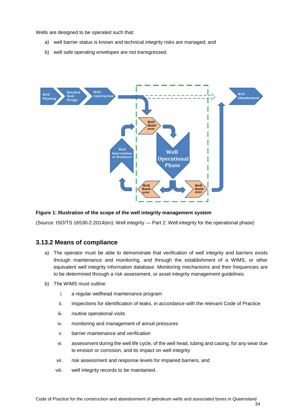Wells are designed to be operated such that:

- a) well barrier status is known and technical integrity risks are managed; and
- b) well safe operating envelopes are not transgressed.



#### **Figure 1: Illustration of the scope of the well integrity management system**

(Source: ISO/TS 16530-2:2014(en): Well integrity — Part 2: Well integrity for the operational phase)

#### **3.13.2 Means of compliance**

- a) The operator must be able to demonstrate that verification of well integrity and barriers exists through maintenance and monitoring, and through the establishment of a WIMS, or other equivalent well integrity information database. Monitoring mechanisms and their frequencies are to be determined through a risk assessment, or asset integrity management guidelines.
- b) The WIMS must outline:
	- i. a regular wellhead maintenance program
	- ii. inspections for identification of leaks, in accordance with the relevant Code of Practice
	- iii. routine operational visits
	- iv. monitoring and management of annuli pressures
	- v. barrier maintenance and verification
	- vi. assessment during the well life cycle, of the well head, tubing and casing, for any wear due to erosion or corrosion, and its impact on well integrity
	- vii. risk assessment and response levels for impaired barriers, and
	- viii. well integrity records to be maintained.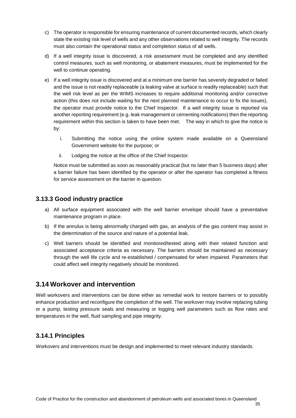- c) The operator is responsible for ensuring maintenance of current documented records, which clearly state the existing risk level of wells and any other observations related to well integrity. The records must also contain the operational status and completion status of all wells.
- d) If a well integrity issue is discovered, a risk assessment must be completed and any identified control measures, such as well monitoring, or abatement measures, must be implemented for the well to continue operating.
- e) If a well integrity issue is discovered and at a minimum one barrier has severely degraded or failed and the issue is not readily replaceable (a leaking valve at surface is readily replaceable) such that the well risk level as per the WIMS increases to require additional monitoring and/or corrective action (this does not include waiting for the next planned maintenance to occur to fix the issues), the operator must provide notice to the Chief Inspector. If a well integrity issue is reported via another reporting requirement (e.g. leak management or cementing notifications) then the reporting requirement within this section is taken to have been met. The way in which to give the notice is by:
	- i. Submitting the notice using the online system made available on a Queensland Government website for the purpose; or
	- ii. Lodging the notice at the office of the Chief Inspector.

Notice must be submitted as soon as reasonably practical (but no later than 5 business days) after a barrier failure has been identified by the operator or after the operator has completed a fitness for service assessment on the barrier in question.

#### **3.13.3 Good industry practice**

- a) All surface equipment associated with the well barrier envelope should have a preventative maintenance program in place.
- b) If the annulus is being abnormally charged with gas, an analysis of the gas content may assist in the determination of the source and nature of a potential leak.
- c) Well barriers should be identified and monitored/tested along with their related function and associated acceptance criteria as necessary. The barriers should be maintained as necessary through the well life cycle and re-established / compensated for when impaired. Parameters that could affect well integrity negatively should be monitored.

### **3.14 Workover and intervention**

Well workovers and interventions can be done either as remedial work to restore barriers or to possibly enhance production and reconfigure the completion of the well. The workover may involve replacing tubing or a pump, testing pressure seals and measuring or logging well parameters such as flow rates and temperatures in the well, fluid sampling and pipe integrity.

### **3.14.1 Principles**

Workovers and interventions must be design and implemented to meet relevant industry standards.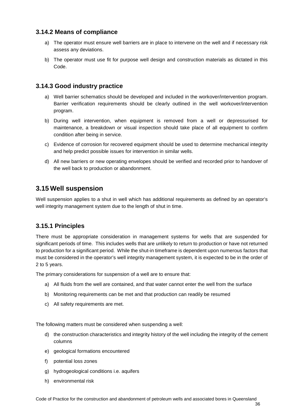#### **3.14.2 Means of compliance**

- a) The operator must ensure well barriers are in place to intervene on the well and if necessary risk assess any deviations.
- b) The operator must use fit for purpose well design and construction materials as dictated in this Code.

#### **3.14.3 Good industry practice**

- a) Well barrier schematics should be developed and included in the workover/intervention program. Barrier verification requirements should be clearly outlined in the well workover/intervention program.
- b) During well intervention, when equipment is removed from a well or depressurised for maintenance, a breakdown or visual inspection should take place of all equipment to confirm condition after being in service.
- c) Evidence of corrosion for recovered equipment should be used to determine mechanical integrity and help predict possible issues for intervention in similar wells.
- d) All new barriers or new operating envelopes should be verified and recorded prior to handover of the well back to production or abandonment.

### **3.15 Well suspension**

Well suspension applies to a shut in well which has additional requirements as defined by an operator's well integrity management system due to the length of shut in time.

#### **3.15.1 Principles**

There must be appropriate consideration in management systems for wells that are suspended for significant periods of time. This includes wells that are unlikely to return to production or have not returned to production for a significant period. While the shut-in timeframe is dependent upon numerous factors that must be considered in the operator's well integrity management system, it is expected to be in the order of 2 to 5 years.

The primary considerations for suspension of a well are to ensure that:

- a) All fluids from the well are contained, and that water cannot enter the well from the surface
- b) Monitoring requirements can be met and that production can readily be resumed
- c) All safety requirements are met.

The following matters must be considered when suspending a well:

- d) the construction characteristics and integrity history of the well including the integrity of the cement columns
- e) geological formations encountered
- f) potential loss zones
- g) hydrogeological conditions i.e. aquifers
- h) environmental risk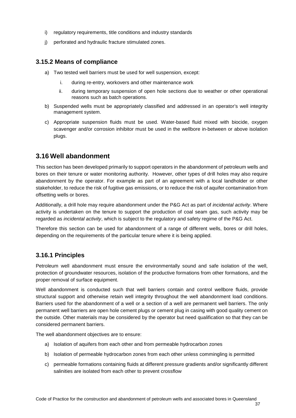- i) regulatory requirements, title conditions and industry standards
- j) perforated and hydraulic fracture stimulated zones.

#### **3.15.2 Means of compliance**

- a) Two tested well barriers must be used for well suspension, except:
	- i. during re-entry, workovers and other maintenance work
	- ii. during temporary suspension of open hole sections due to weather or other operational reasons such as batch operations.
- b) Suspended wells must be appropriately classified and addressed in an operator's well integrity management system.
- c) Appropriate suspension fluids must be used. Water-based fluid mixed with biocide, oxygen scavenger and/or corrosion inhibitor must be used in the wellbore in-between or above isolation plugs.

## **3.16 Well abandonment**

This section has been developed primarily to support operators in the abandonment of petroleum wells and bores on their tenure or water monitoring authority. However, other types of drill holes may also require abandonment by the operator. For example as part of an agreement with a local landholder or other stakeholder, to reduce the risk of fugitive gas emissions, or to reduce the risk of aquifer contamination from offsetting wells or bores.

Additionally, a drill hole may require abandonment under the P&G Act as part of *incidental activity*. Where activity is undertaken on the tenure to support the production of coal seam gas, such activity may be regarded as *incidental activity*, which is subject to the regulatory and safety regime of the P&G Act.

Therefore this section can be used for abandonment of a range of different wells, bores or drill holes, depending on the requirements of the particular tenure where it is being applied.

### **3.16.1 Principles**

Petroleum well abandonment must ensure the environmentally sound and safe isolation of the well, protection of groundwater resources, isolation of the productive formations from other formations, and the proper removal of surface equipment.

Well abandonment is conducted such that well barriers contain and control wellbore fluids, provide structural support and otherwise retain well integrity throughout the well abandonment load conditions. Barriers used for the abandonment of a well or a section of a well are permanent well barriers. The only permanent well barriers are open hole cement plugs or cement plug in casing with good quality cement on the outside. Other materials may be considered by the operator but need qualification so that they can be considered permanent barriers.

The well abandonment objectives are to ensure:

- a) Isolation of aquifers from each other and from permeable hydrocarbon zones
- b) Isolation of permeable hydrocarbon zones from each other unless commingling is permitted
- c) permeable formations containing fluids at different pressure gradients and/or significantly different salinities are isolated from each other to prevent crossflow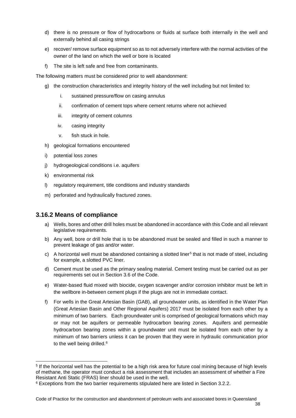- d) there is no pressure or flow of hydrocarbons or fluids at surface both internally in the well and externally behind all casing strings
- e) recover/ remove surface equipment so as to not adversely interfere with the normal activities of the owner of the land on which the well or bore is located
- f) The site is left safe and free from contaminants.

The following matters must be considered prior to well abandonment:

- g) the construction characteristics and integrity history of the well including but not limited to:
	- i. sustained pressure/flow on casing annulus
	- ii. confirmation of cement tops where cement returns where not achieved
	- iii. integrity of cement columns
	- iv. casing integrity
	- v. fish stuck in hole.
- h) geological formations encountered
- i) potential loss zones
- j) hydrogeological conditions i.e. aquifers
- k) environmental risk
- l) regulatory requirement, title conditions and industry standards
- m) perforated and hydraulically fractured zones.

#### **3.16.2 Means of compliance**

- a) Wells, bores and other drill holes must be abandoned in accordance with this Code and all relevant legislative requirements.
- b) Any well, bore or drill hole that is to be abandoned must be sealed and filled in such a manner to prevent leakage of gas and/or water.
- c) A horizontal well must be abandoned containing a slotted liner<sup>[5](#page-43-0)</sup> that is not made of steel, including for example, a slotted PVC liner.
- d) Cement must be used as the primary sealing material. Cement testing must be carried out as per requirements set out in Section [3.6](#page-23-0) of the Code.
- e) Water-based fluid mixed with biocide, oxygen scavenger and/or corrosion inhibitor must be left in the wellbore in-between cement plugs if the plugs are not in immediate contact.
- <span id="page-43-2"></span>f) For wells in the Great Artesian Basin (GAB), all groundwater units, as identified in the Water Plan (Great Artesian Basin and Other Regional Aquifers) 2017 must be isolated from each other by a minimum of two barriers. Each groundwater unit is comprised of geological formations which may or may not be aquifers or permeable hydrocarbon bearing zones. Aquifers and permeable hydrocarbon bearing zones within a groundwater unit must be isolated from each other by a minimum of two barriers unless it can be proven that they were in hydraulic communication prior to the well being drilled.<sup>[6](#page-43-1)</sup>

<span id="page-43-0"></span><sup>5</sup> If the horizontal well has the potential to be a high risk area for future coal mining because of high levels of methane, the operator must conduct a risk assessment that includes an assessment of whether a Fire Resistant Anti Static (FRAS) liner should be used in the well.

<span id="page-43-1"></span><sup>6</sup> Exceptions from the two barrier requirements stipulated here are listed in Section [3.2.2.](#page-15-0)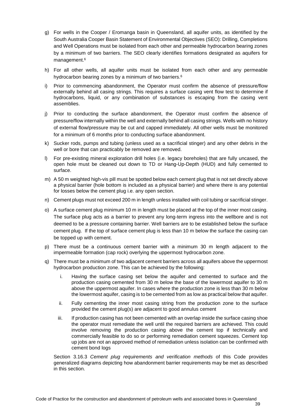- g) For wells in the Cooper / Eromanga basin in Queensland, all aquifer units, as identified by the South Australia Cooper Basin Statement of Environmental Objectives (SEO): Drilling, Completions and Well Operations must be isolated from each other and permeable hydrocarbon bearing zones by a minimum of two barriers. The SEO clearly identifies formations designated as aquifers for management[.6](#page-43-2)
- h) For all other wells, all aquifer units must be isolated from each other and any permeable hydrocarbon bearing zones by a minimum of two barriers.<sup>6</sup>
- i) Prior to commencing abandonment, the Operator must confirm the absence of pressure/flow externally behind all casing strings. This requires a surface casing vent flow test to determine if hydrocarbons, liquid, or any combination of substances is escaping from the casing vent assemblies.
- j) Prior to conducting the surface abandonment, the Operator must confirm the absence of pressure/flow internally within the well and externally behind all casing strings. Wells with no history of external flow/pressure may be cut and capped immediately. All other wells must be monitored for a minimum of 6 months prior to conducting surface abandonment.
- k) Sucker rods, pumps and tubing (unless used as a sacrificial stinger) and any other debris in the well or bore that can practicably be removed are removed.
- l) For pre-existing mineral exploration drill holes (i.e. legacy boreholes) that are fully uncased, the open hole must be cleaned out down to TD or Hang-Up-Depth (HUD) and fully cemented to surface.
- m) A 50 m weighted high-vis pill must be spotted below each cement plug that is not set directly above a physical barrier (hole bottom is included as a physical barrier) and where there is any potential for losses below the cement plug i.e. any open section.
- n) Cement plugs must not exceed 200 m in length unless installed with coil tubing or sacrificial stinger.
- o) A surface cement plug minimum 10 m in length must be placed at the top of the inner most casing. The surface plug acts as a barrier to prevent any long-term ingress into the wellbore and is not deemed to be a pressure containing barrier. Well barriers are to be established below the surface cement plug. If the top of surface cement plug is less than 10 m below the surface the casing can be topped up with cement.
- p) There must be a continuous cement barrier with a minimum 30 m length adjacent to the impermeable formation (cap rock) overlying the uppermost hydrocarbon zone.
- q) There must be a minimum of two adjacent cement barriers across all aquifers above the uppermost hydrocarbon production zone. This can be achieved by the following:
	- i. Having the surface casing set below the aquifer and cemented to surface and the production casing cemented from 30 m below the base of the lowermost aquifer to 30 m above the uppermost aquifer. In cases where the production zone is less than 30 m below the lowermost aquifer, casing is to be cemented from as low as practical below that aquifer.
	- ii. Fully cementing the inner most casing string from the production zone to the surface provided the cement plug(s) are adjacent to good annulus cement
	- iii. If production casing has not been cemented with an overlap inside the surface casing shoe the operator must remediate the well until the required barriers are achieved. This could involve removing the production casing above the cement top if technically and commercially feasible to do so or performing remediation cement squeezes. Cement top up jobs are not an approved method of remediation unless isolation can be confirmed with cement bond logs

Section [3.16.3](#page-47-0) *Cement plug requirements and verification methods* of this Code provides generalized diagrams depicting how abandonment barrier requirements may be met as described in this section.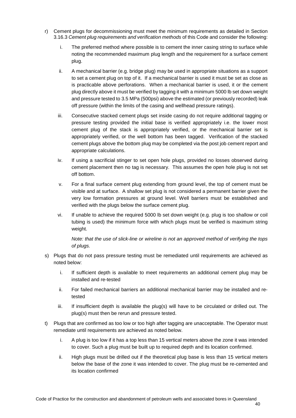- r) Cement plugs for decommissioning must meet the minimum requirements as detailed in Section [3.16.3](#page-47-0) *Cement plug requirements and verification methods* of this Code and consider the following:
	- i. The preferred method where possible is to cement the inner casing string to surface while noting the recommended maximum plug length and the requirement for a surface cement plug.
	- ii. A mechanical barrier (e.g. bridge plug) may be used in appropriate situations as a support to set a cement plug on top of it. If a mechanical barrier is used it must be set as close as is practicable above perforations. When a mechanical barrier is used, it or the cement plug directly above it must be verified by tagging it with a minimum 5000 lb set down weight and pressure tested to 3.5 MPa (500psi) above the estimated (or previously recorded) leak off pressure (within the limits of the casing and wellhead pressure ratings).
	- iii. Consecutive stacked cement plugs set inside casing do not require additional tagging or pressure testing provided the initial base is verified appropriately i.e. the lower most cement plug of the stack is appropriately verified, or the mechanical barrier set is appropriately verified, or the well bottom has been tagged. Verification of the stacked cement plugs above the bottom plug may be completed via the post job cement report and appropriate calculations.
	- iv. If using a sacrificial stinger to set open hole plugs, provided no losses observed during cement placement then no tag is necessary. This assumes the open hole plug is not set off bottom.
	- v. For a final surface cement plug extending from ground level, the top of cement must be visible and at surface. A shallow set plug is not considered a permanent barrier given the very low formation pressures at ground level. Well barriers must be established and verified with the plugs below the surface cement plug.
	- vi. If unable to achieve the required 5000 lb set down weight (e.g. plug is too shallow or coil tubing is used) the minimum force with which plugs must be verified is maximum string weight.

*Note: that the use of slick-line or wireline is not an approved method of verifying the tops of plugs.*

- s) Plugs that do not pass pressure testing must be remediated until requirements are achieved as noted below:
	- i. If sufficient depth is available to meet requirements an additional cement plug may be installed and re-tested
	- ii. For failed mechanical barriers an additional mechanical barrier may be installed and retested
	- iii. If insufficient depth is available the plug(s) will have to be circulated or drilled out. The plug(s) must then be rerun and pressure tested.
- t) Plugs that are confirmed as too low or too high after tagging are unacceptable. The Operator must remediate until requirements are achieved as noted below.
	- i. A plug is too low if it has a top less than 15 vertical meters above the zone it was intended to cover. Such a plug must be built up to required depth and its location confirmed.
	- ii. High plugs must be drilled out if the theoretical plug base is less than 15 vertical meters below the base of the zone it was intended to cover. The plug must be re-cemented and its location confirmed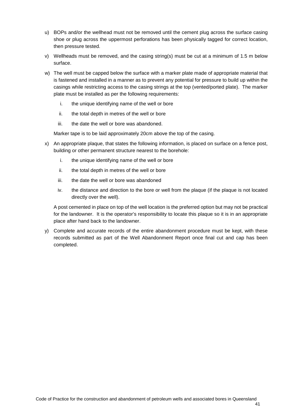- u) BOPs and/or the wellhead must not be removed until the cement plug across the surface casing shoe or plug across the uppermost perforations has been physically tagged for correct location, then pressure tested.
- v) Wellheads must be removed, and the casing string(s) must be cut at a minimum of 1.5 m below surface.
- w) The well must be capped below the surface with a marker plate made of appropriate material that is fastened and installed in a manner as to prevent any potential for pressure to build up within the casings while restricting access to the casing strings at the top (vented/ported plate). The marker plate must be installed as per the following requirements:
	- i. the unique identifying name of the well or bore
	- ii. the total depth in metres of the well or bore
	- iii. the date the well or bore was abandoned.

Marker tape is to be laid approximately 20cm above the top of the casing.

- x) An appropriate plaque, that states the following information, is placed on surface on a fence post, building or other permanent structure nearest to the borehole:
	- i. the unique identifying name of the well or bore
	- ii. the total depth in metres of the well or bore
	- iii. the date the well or bore was abandoned
	- iv. the distance and direction to the bore or well from the plaque (if the plaque is not located directly over the well).

A post cemented in place on top of the well location is the preferred option but may not be practical for the landowner. It is the operator's responsibility to locate this plaque so it is in an appropriate place after hand back to the landowner.

y) Complete and accurate records of the entire abandonment procedure must be kept, with these records submitted as part of the Well Abandonment Report once final cut and cap has been completed.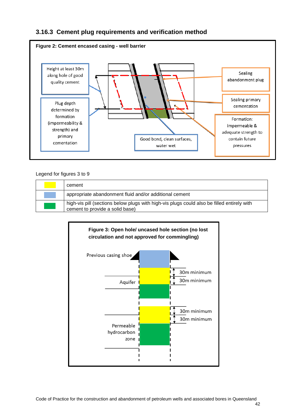

### <span id="page-47-0"></span>**3.16.3 Cement plug requirements and verification method**

#### Legend for figures 3 to 9

| cement                                                                                                                        |
|-------------------------------------------------------------------------------------------------------------------------------|
| appropriate abandonment fluid and/or additional cement                                                                        |
| high-vis pill (sections below plugs with high-vis plugs could also be filled entirely with<br>cement to provide a solid base) |

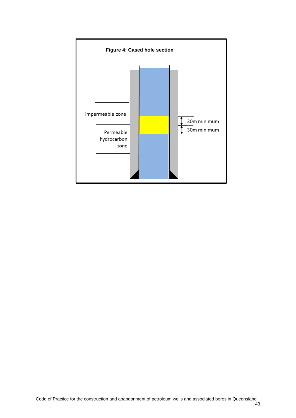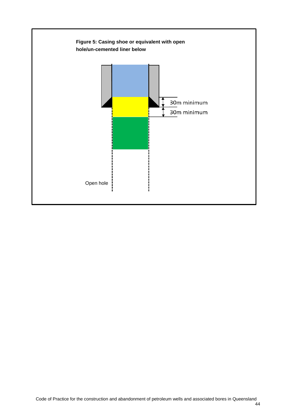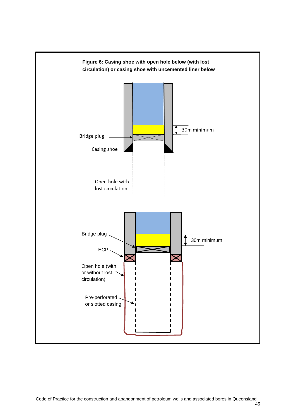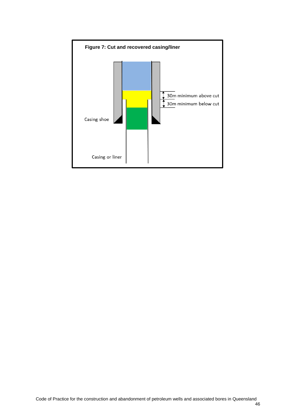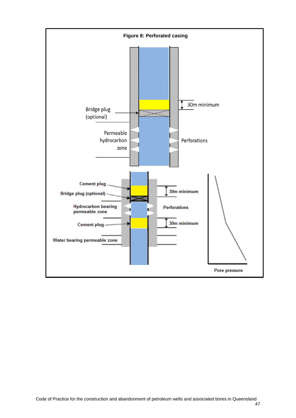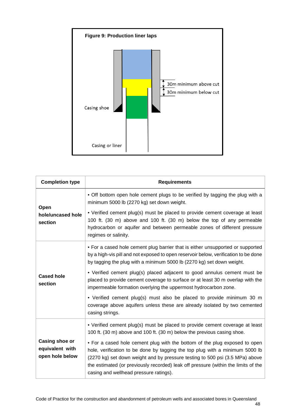

| <b>Completion type</b>                               | <b>Requirements</b>                                                                                                                                                                                                                                                                                                                                                        |
|------------------------------------------------------|----------------------------------------------------------------------------------------------------------------------------------------------------------------------------------------------------------------------------------------------------------------------------------------------------------------------------------------------------------------------------|
| Open                                                 | • Off bottom open hole cement plugs to be verified by tagging the plug with a<br>minimum 5000 lb (2270 kg) set down weight.                                                                                                                                                                                                                                                |
| hole/uncased hole<br>section                         | • Verified cement plug(s) must be placed to provide cement coverage at least<br>100 ft. (30 m) above and 100 ft. (30 m) below the top of any permeable<br>hydrocarbon or aquifer and between permeable zones of different pressure<br>regimes or salinity.                                                                                                                 |
|                                                      | • For a cased hole cement plug barrier that is either unsupported or supported<br>by a high-vis pill and not exposed to open reservoir below, verification to be done<br>by tagging the plug with a minimum 5000 lb (2270 kg) set down weight.                                                                                                                             |
| <b>Cased hole</b><br>section                         | • Verified cement plug(s) placed adjacent to good annulus cement must be<br>placed to provide cement coverage to surface or at least 30 m overlap with the<br>impermeable formation overlying the uppermost hydrocarbon zone.                                                                                                                                              |
|                                                      | • Verified cement plug(s) must also be placed to provide minimum 30 m<br>coverage above aquifers unless these are already isolated by two cemented<br>casing strings.                                                                                                                                                                                                      |
|                                                      | • Verified cement plug(s) must be placed to provide cement coverage at least<br>100 ft. (30 m) above and 100 ft. (30 m) below the previous casing shoe.                                                                                                                                                                                                                    |
| Casing shoe or<br>equivalent with<br>open hole below | • For a cased hole cement plug with the bottom of the plug exposed to open<br>hole, verification to be done by tagging the top plug with a minimum 5000 lb<br>(2270 kg) set down weight and by pressure testing to 500 psi (3.5 MPa) above<br>the estimated (or previously recorded) leak off pressure (within the limits of the<br>casing and wellhead pressure ratings). |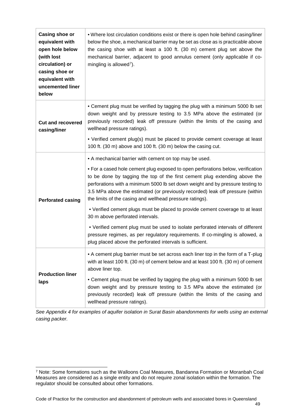| <b>Casing shoe or</b><br>equivalent with<br>open hole below<br>(with lost<br>circulation) or<br>casing shoe or<br>equivalent with<br>uncemented liner<br>below | . Where lost circulation conditions exist or there is open hole behind casing/liner<br>below the shoe, a mechanical barrier may be set as close as is practicable above<br>the casing shoe with at least a 100 ft. (30 m) cement plug set above the<br>mechanical barrier, adjacent to good annulus cement (only applicable if co-<br>mingling is allowed <sup>7</sup> ).                                                                                                                                                                                                                                                                                                                                                                                                                                       |
|----------------------------------------------------------------------------------------------------------------------------------------------------------------|-----------------------------------------------------------------------------------------------------------------------------------------------------------------------------------------------------------------------------------------------------------------------------------------------------------------------------------------------------------------------------------------------------------------------------------------------------------------------------------------------------------------------------------------------------------------------------------------------------------------------------------------------------------------------------------------------------------------------------------------------------------------------------------------------------------------|
| <b>Cut and recovered</b><br>casing/liner                                                                                                                       | • Cement plug must be verified by tagging the plug with a minimum 5000 lb set<br>down weight and by pressure testing to 3.5 MPa above the estimated (or<br>previously recorded) leak off pressure (within the limits of the casing and<br>wellhead pressure ratings).<br>• Verified cement plug(s) must be placed to provide cement coverage at least<br>100 ft. (30 m) above and 100 ft. (30 m) below the casing cut.                                                                                                                                                                                                                                                                                                                                                                                          |
| <b>Perforated casing</b>                                                                                                                                       | • A mechanical barrier with cement on top may be used.<br>• For a cased hole cement plug exposed to open perforations below, verification<br>to be done by tagging the top of the first cement plug extending above the<br>perforations with a minimum 5000 lb set down weight and by pressure testing to<br>3.5 MPa above the estimated (or previously recorded) leak off pressure (within<br>the limits of the casing and wellhead pressure ratings).<br>• Verified cement plugs must be placed to provide cement coverage to at least<br>30 m above perforated intervals.<br>• Verified cement plug must be used to isolate perforated intervals of different<br>pressure regimes, as per regulatory requirements. If co-mingling is allowed, a<br>plug placed above the perforated intervals is sufficient. |
| <b>Production liner</b><br>laps                                                                                                                                | • A cement plug barrier must be set across each liner top in the form of a T-plug<br>with at least 100 ft. (30 m) of cement below and at least 100 ft. (30 m) of cement<br>above liner top.<br>• Cement plug must be verified by tagging the plug with a minimum 5000 lb set<br>down weight and by pressure testing to 3.5 MPa above the estimated (or<br>previously recorded) leak off pressure (within the limits of the casing and<br>wellhead pressure ratings).                                                                                                                                                                                                                                                                                                                                            |

*See Appendix 4 for examples of aquifer isolation in Surat Basin abandonments for wells using an external casing packer.*

<span id="page-54-0"></span><sup>7</sup> Note: Some formations such as the Walloons Coal Measures, Bandanna Formation or Moranbah Coal Measures are considered as a single entity and do not require zonal isolation within the formation. The regulator should be consulted about other formations.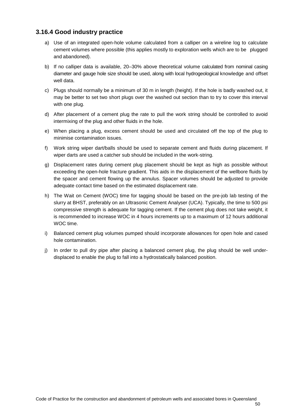#### **3.16.4 Good industry practice**

- a) Use of an integrated open-hole volume calculated from a calliper on a wireline log to calculate cement volumes where possible (this applies mostly to exploration wells which are to be plugged and abandoned).
- b) If no calliper data is available, 20–30% above theoretical volume calculated from nominal casing diameter and gauge hole size should be used, along with local hydrogeological knowledge and offset well data.
- c) Plugs should normally be a minimum of 30 m in length (height). If the hole is badly washed out, it may be better to set two short plugs over the washed out section than to try to cover this interval with one plug.
- d) After placement of a cement plug the rate to pull the work string should be controlled to avoid intermixing of the plug and other fluids in the hole.
- e) When placing a plug, excess cement should be used and circulated off the top of the plug to minimise contamination issues.
- f) Work string wiper dart/balls should be used to separate cement and fluids during placement. If wiper darts are used a catcher sub should be included in the work-string.
- g) Displacement rates during cement plug placement should be kept as high as possible without exceeding the open-hole fracture gradient. This aids in the displacement of the wellbore fluids by the spacer and cement flowing up the annulus. Spacer volumes should be adjusted to provide adequate contact time based on the estimated displacement rate.
- h) The Wait on Cement (WOC) time for tagging should be based on the pre-job lab testing of the slurry at BHST, preferably on an Ultrasonic Cement Analyser (UCA). Typically, the time to 500 psi compressive strength is adequate for tagging cement. If the cement plug does not take weight, it is recommended to increase WOC in 4 hours increments up to a maximum of 12 hours additional WOC time.
- i) Balanced cement plug volumes pumped should incorporate allowances for open hole and cased hole contamination.
- j) In order to pull dry pipe after placing a balanced cement plug, the plug should be well underdisplaced to enable the plug to fall into a hydrostatically balanced position.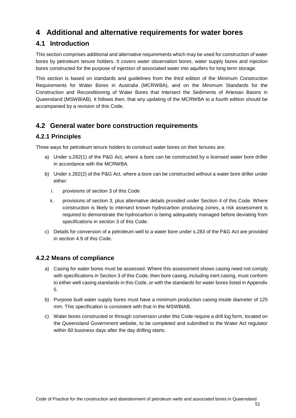# <span id="page-56-0"></span>**4 Additional and alternative requirements for water bores**

# **4.1 Introduction**

This section comprises additional and alternative requirements which may be used for construction of water bores by petroleum tenure holders. It covers water observation bores, water supply bores and injection bores constructed for the purpose of injection of associated water into aquifers for long term storage.

This section is based on standards and guidelines from the third edition of the Minimum Construction Requirements for Water Bores in Australia (MCRWBA), and on the Minimum Standards for the Construction and Reconditioning of Water Bores that Intersect the Sediments of Artesian Basins in Queensland (MSWBIAB). It follows then, that any updating of the MCRWBA to a fourth edition should be accompanied by a revision of this Code.

# **4.2 General water bore construction requirements**

### <span id="page-56-1"></span>**4.2.1 Principles**

Three ways for petroleum tenure holders to construct water bores on their tenures are:

- a) Under s.282(1) of the P&G Act, where a bore can be constructed by a licensed water bore driller in accordance with the MCRWBA.
- <span id="page-56-3"></span><span id="page-56-2"></span>b) Under s.282(2) of the P&G Act, where a bore can be constructed without a water bore driller under either:
	- i. provisions of section [3](#page-14-0) of this Code
	- ii. provisions of section [3,](#page-14-0) plus alternative details provided under Section [4](#page-56-0) of this Code. Where construction is likely to intersect known hydrocarbon producing zones, a risk assessment is required to demonstrate the hydrocarbon is being adequately managed before deviating from specifications in section [3](#page-14-0) of this Code.
- c) Details for conversion of a petroleum well to a water bore under s.283 of the P&G Act are provided in section [4.9](#page-62-0) of this Code.

### <span id="page-56-4"></span>**4.2.2 Means of compliance**

- a) Casing for water bores must be assessed. Where this assessment shows casing need not comply with specifications in Sectio[n 3](#page-14-0) of this Code, then bore casing, including inert casing, must conform to either well casing standards in this Code, or with the standards for water bores listed in Appendix 5.
- <span id="page-56-5"></span>b) Purpose built water supply bores must have a minimum production casing inside diameter of 125 mm. This specification is consistent with that in the MSWBIAB.
- c) Water bores constructed or through conversion under this Code require a drill log form, located on the Queensland Government website, to be completed and submitted to the Water Act regulator within 60 business days after the day drilling starts.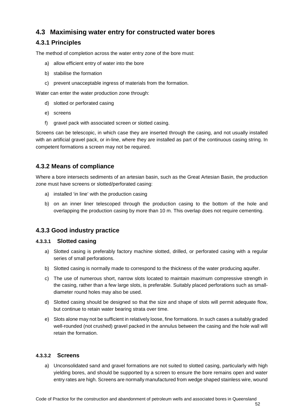# **4.3 Maximising water entry for constructed water bores**

### **4.3.1 Principles**

The method of completion across the water entry zone of the bore must:

- a) allow efficient entry of water into the bore
- b) stabilise the formation
- c) prevent unacceptable ingress of materials from the formation.

Water can enter the water production zone through:

- d) slotted or perforated casing
- e) screens
- f) gravel pack with associated screen or slotted casing.

Screens can be telescopic, in which case they are inserted through the casing, and not usually installed with an artificial gravel pack, or in-line, where they are installed as part of the continuous casing string. In competent formations a screen may not be required.

### **4.3.2 Means of compliance**

Where a bore intersects sediments of an artesian basin, such as the Great Artesian Basin, the production zone must have screens or slotted/perforated casing:

- a) installed 'in line' with the production casing
- b) on an inner liner telescoped through the production casing to the bottom of the hole and overlapping the production casing by more than 10 m. This overlap does not require cementing.

### **4.3.3 Good industry practice**

#### **4.3.3.1 Slotted casing**

- a) Slotted casing is preferably factory machine slotted, drilled, or perforated casing with a regular series of small perforations.
- b) Slotted casing is normally made to correspond to the thickness of the water producing aquifer.
- c) The use of numerous short, narrow slots located to maintain maximum compressive strength in the casing, rather than a few large slots, is preferable. Suitably placed perforations such as smalldiameter round holes may also be used.
- d) Slotted casing should be designed so that the size and shape of slots will permit adequate flow, but continue to retain water bearing strata over time.
- e) Slots alone may not be sufficient in relatively loose, fine formations. In such cases a suitably graded well-rounded (not crushed) gravel packed in the annulus between the casing and the hole wall will retain the formation.

#### **4.3.3.2 Screens**

a) Unconsolidated sand and gravel formations are not suited to slotted casing, particularly with high yielding bores, and should be supported by a screen to ensure the bore remains open and water entry rates are high. Screens are normally manufactured from wedge shaped stainless wire, wound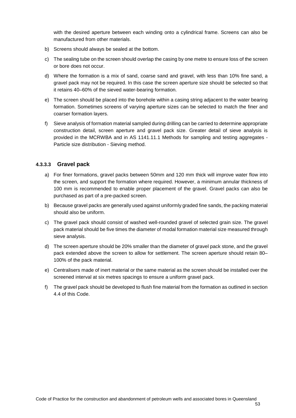with the desired aperture between each winding onto a cylindrical frame. Screens can also be manufactured from other materials.

- b) Screens should always be sealed at the bottom.
- c) The sealing tube on the screen should overlap the casing by one metre to ensure loss of the screen or bore does not occur.
- d) Where the formation is a mix of sand, coarse sand and gravel, with less than 10% fine sand, a gravel pack may not be required. In this case the screen aperture size should be selected so that it retains 40–60% of the sieved water-bearing formation.
- e) The screen should be placed into the borehole within a casing string adjacent to the water bearing formation. Sometimes screens of varying aperture sizes can be selected to match the finer and coarser formation layers.
- f) Sieve analysis of formation material sampled during drilling can be carried to determine appropriate construction detail, screen aperture and gravel pack size. Greater detail of sieve analysis is provided in the MCRWBA and in AS 1141.11.1 Methods for sampling and testing aggregates - Particle size distribution - Sieving method.

#### **4.3.3.3 Gravel pack**

- a) For finer formations, gravel packs between 50mm and 120 mm thick will improve water flow into the screen, and support the formation where required. However, a minimum annular thickness of 100 mm is recommended to enable proper placement of the gravel. Gravel packs can also be purchased as part of a pre-packed screen.
- b) Because gravel packs are generally used against uniformly graded fine sands, the packing material should also be uniform.
- c) The gravel pack should consist of washed well-rounded gravel of selected grain size. The gravel pack material should be five times the diameter of modal formation material size measured through sieve analysis.
- d) The screen aperture should be 20% smaller than the diameter of gravel pack stone, and the gravel pack extended above the screen to allow for settlement. The screen aperture should retain 80– 100% of the pack material.
- e) Centralisers made of inert material or the same material as the screen should be installed over the screened interval at six metres spacings to ensure a uniform gravel pack.
- f) The gravel pack should be developed to flush fine material from the formation as outlined in section [4.4](#page-59-0) of this Code.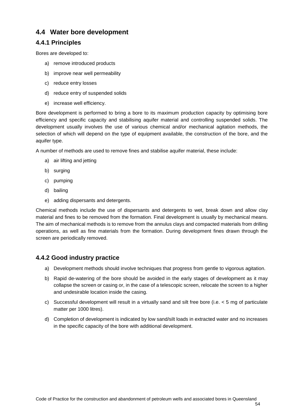### <span id="page-59-0"></span>**4.4 Water bore development**

### **4.4.1 Principles**

Bores are developed to:

- a) remove introduced products
- b) improve near well permeability
- c) reduce entry losses
- d) reduce entry of suspended solids
- e) increase well efficiency.

Bore development is performed to bring a bore to its maximum production capacity by optimising bore efficiency and specific capacity and stabilising aquifer material and controlling suspended solids. The development usually involves the use of various chemical and/or mechanical agitation methods, the selection of which will depend on the type of equipment available, the construction of the bore, and the aquifer type.

A number of methods are used to remove fines and stabilise aquifer material, these include:

- a) air lifting and jetting
- b) surging
- c) pumping
- d) bailing
- e) adding dispersants and detergents.

Chemical methods include the use of dispersants and detergents to wet, break down and allow clay material and fines to be removed from the formation. Final development is usually by mechanical means. The aim of mechanical methods is to remove from the annulus clays and compacted materials from drilling operations, as well as fine materials from the formation. During development fines drawn through the screen are periodically removed.

### **4.4.2 Good industry practice**

- a) Development methods should involve techniques that progress from gentle to vigorous agitation.
- b) Rapid de-watering of the bore should be avoided in the early stages of development as it may collapse the screen or casing or, in the case of a telescopic screen, relocate the screen to a higher and undesirable location inside the casing.
- c) Successful development will result in a virtually sand and silt free bore (i.e.  $\lt$  5 mg of particulate matter per 1000 litres).
- d) Completion of development is indicated by low sand/silt loads in extracted water and no increases in the specific capacity of the bore with additional development.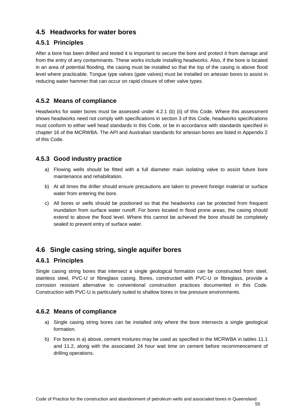### **4.5 Headworks for water bores**

### **4.5.1 Principles**

After a bore has been drilled and tested it is important to secure the bore and protect it from damage and from the entry of any contaminants. These works include installing headworks. Also, if the bore is located in an area of potential flooding, the casing must be installed so that the top of the casing is above flood level where practicable. Tongue type valves (gate valves) must be installed on artesian bores to assist in reducing water hammer that can occur on rapid closure of other valve types.

### **4.5.2 Means of compliance**

Headworks for water bores must be assessed under [4.2.1](#page-56-1) [\(b\)](#page-56-2) [\(ii\)](#page-56-3) of this Code. Where this assessment shows headworks need not comply with specifications in section [3](#page-14-0) of this Code, headworks specifications must conform to either well head standards in this Code, or be in accordance with standards specified in chapter 16 of the MCRWBA. The API and Australian standards for artesian bores are listed in Appendix 2 of this Code.

### **4.5.3 Good industry practice**

- a) Flowing wells should be fitted with a full diameter main isolating valve to assist future bore maintenance and rehabilitation.
- b) At all times the driller should ensure precautions are taken to prevent foreign material or surface water from entering the bore.
- c) All bores or wells should be positioned so that the headworks can be protected from frequent inundation from surface water runoff. For bores located in flood prone areas, the casing should extend to above the flood level. Where this cannot be achieved the bore should be completely sealed to prevent entry of surface water.

# **4.6 Single casing string, single aquifer bores**

#### **4.6.1 Principles**

Single casing string bores that intersect a single geological formation can be constructed from steel, stainless steel, PVC-U or fibreglass casing. Bores, constructed with PVC-U or fibreglass, provide a corrosion resistant alternative to conventional construction practices documented in this Code. Construction with PVC-U is particularly suited to shallow bores in low pressure environments.

### **4.6.2 Means of compliance**

- a) Single casing string bores can be installed only where the bore intersects a single geological formation.
- b) For bores in a) above, cement mixtures may be used as specified in the MCRWBA in tables 11.1 and 11.2, along with the associated 24 hour wait time on cement before recommencement of drilling operations.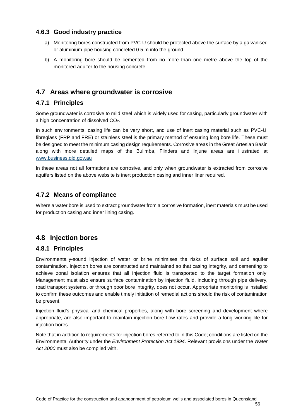#### **4.6.3 Good industry practice**

- a) Monitoring bores constructed from PVC-U should be protected above the surface by a galvanised or aluminium pipe housing concreted 0.5 m into the ground.
- b) A monitoring bore should be cemented from no more than one metre above the top of the monitored aquifer to the housing concrete.

### <span id="page-61-0"></span>**4.7 Areas where groundwater is corrosive**

#### **4.7.1 Principles**

Some groundwater is corrosive to mild steel which is widely used for casing, particularly groundwater with a high concentration of dissolved CO2.

In such environments, casing life can be very short, and use of inert casing material such as PVC-U, fibreglass (FRP and FRE) or stainless steel is the primary method of ensuring long bore life. These must be designed to meet the minimum casing design requirements. Corrosive areas in the Great Artesian Basin along with more detailed maps of the Bulimba, Flinders and Injune areas are illustrated at [www.business.qld.gov.au](https://www.business.qld.gov.au/industries/mining-energy-water/water/bores-and-groundwater) 

In these areas not all formations are corrosive, and only when groundwater is extracted from corrosive aquifers listed on the above website is inert production casing and inner liner required.

#### **4.7.2 Means of compliance**

Where a water bore is used to extract groundwater from a corrosive formation, inert materials must be used for production casing and inner lining casing.

### **4.8 Injection bores**

#### **4.8.1 Principles**

Environmentally-sound injection of water or brine minimises the risks of surface soil and aquifer contamination. Injection bores are constructed and maintained so that casing integrity, and cementing to achieve zonal isolation ensures that all injection fluid is transported to the target formation only. Management must also ensure surface contamination by injection fluid, including through pipe delivery, road transport systems, or through poor bore integrity, does not occur. Appropriate monitoring is installed to confirm these outcomes and enable timely initiation of remedial actions should the risk of contamination be present.

Injection fluid's physical and chemical properties, along with bore screening and development where appropriate, are also important to maintain injection bore flow rates and provide a long working life for injection bores.

Note that in addition to requirements for injection bores referred to in this Code; conditions are listed on the Environmental Authority under the *Environment Protection Act 1994*. Relevant provisions under the *Water Act 2000* must also be complied with.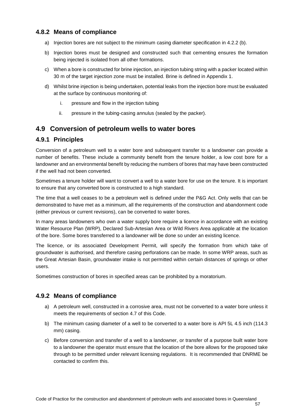#### **4.8.2 Means of compliance**

- a) Injection bores are not subject to the minimum casing diameter specification in [4.2.2](#page-56-4) [\(b\).](#page-56-5)
- b) Injection bores must be designed and constructed such that cementing ensures the formation being injected is isolated from all other formations.
- c) When a bore is constructed for brine injection, an injection tubing string with a packer located within 30 m of the target injection zone must be installed. Brine is defined in Appendix 1.
- d) Whilst brine injection is being undertaken, potential leaks from the injection bore must be evaluated at the surface by continuous monitoring of:
	- i. pressure and flow in the injection tubing
	- ii. pressure in the tubing-casing annulus (sealed by the packer).

### <span id="page-62-0"></span>**4.9 Conversion of petroleum wells to water bores**

#### **4.9.1 Principles**

Conversion of a petroleum well to a water bore and subsequent transfer to a landowner can provide a number of benefits. These include a community benefit from the tenure holder, a low cost bore for a landowner and an environmental benefit by reducing the numbers of bores that may have been constructed if the well had not been converted.

Sometimes a tenure holder will want to convert a well to a water bore for use on the tenure. It is important to ensure that any converted bore is constructed to a high standard.

The time that a well ceases to be a petroleum well is defined under the P&G Act. Only wells that can be demonstrated to have met as a minimum, all the requirements of the construction and abandonment code (either previous or current revisions), can be converted to water bores.

In many areas landowners who own a water supply bore require a licence in accordance with an existing Water Resource Plan (WRP), Declared Sub-Artesian Area or Wild Rivers Area applicable at the location of the bore. Some bores transferred to a landowner will be done so under an existing licence.

The licence, or its associated Development Permit, will specify the formation from which take of groundwater is authorised, and therefore casing perforations can be made. In some WRP areas, such as the Great Artesian Basin, groundwater intake is not permitted within certain distances of springs or other users.

Sometimes construction of bores in specified areas can be prohibited by a moratorium.

### **4.9.2 Means of compliance**

- a) A petroleum well, constructed in a corrosive area, must not be converted to a water bore unless it meets the requirements of section [4.7](#page-61-0) of this Code.
- b) The minimum casing diameter of a well to be converted to a water bore is API 5L 4.5 inch (114.3 mm) casing.
- c) Before conversion and transfer of a well to a landowner, or transfer of a purpose built water bore to a landowner the operator must ensure that the location of the bore allows for the proposed take through to be permitted under relevant licensing regulations. It is recommended that DNRME be contacted to confirm this.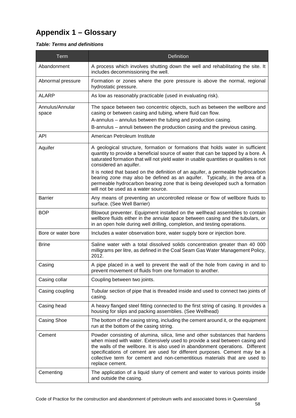# **Appendix 1 – Glossary**

#### *Table: Terms and definitions*

| Term                     | Definition                                                                                                                                                                                                                                                                                                                                                                                                                                                                                                                                                                     |
|--------------------------|--------------------------------------------------------------------------------------------------------------------------------------------------------------------------------------------------------------------------------------------------------------------------------------------------------------------------------------------------------------------------------------------------------------------------------------------------------------------------------------------------------------------------------------------------------------------------------|
| Abandonment              | A process which involves shutting down the well and rehabilitating the site. It<br>includes decommissioning the well.                                                                                                                                                                                                                                                                                                                                                                                                                                                          |
| Abnormal pressure        | Formation or zones where the pore pressure is above the normal, regional<br>hydrostatic pressure.                                                                                                                                                                                                                                                                                                                                                                                                                                                                              |
| <b>ALARP</b>             | As low as reasonably practicable (used in evaluating risk).                                                                                                                                                                                                                                                                                                                                                                                                                                                                                                                    |
| Annulus/Annular<br>space | The space between two concentric objects, such as between the wellbore and<br>casing or between casing and tubing, where fluid can flow.<br>A-annulus – annulus between the tubing and production casing.<br>B-annulus – annuli between the production casing and the previous casing.                                                                                                                                                                                                                                                                                         |
| <b>API</b>               | American Petroleum Institute                                                                                                                                                                                                                                                                                                                                                                                                                                                                                                                                                   |
| Aquifer                  | A geological structure, formation or formations that holds water in sufficient<br>quantity to provide a beneficial source of water that can be tapped by a bore. A<br>saturated formation that will not yield water in usable quantities or qualities is not<br>considered an aquifer.<br>It is noted that based on the definition of an aquifer, a permeable hydrocarbon<br>bearing zone may also be defined as an aquifer. Typically, in the area of a<br>permeable hydrocarbon bearing zone that is being developed such a formation<br>will not be used as a water source. |
| <b>Barrier</b>           | Any means of preventing an uncontrolled release or flow of wellbore fluids to<br>surface. (See Well Barrier)                                                                                                                                                                                                                                                                                                                                                                                                                                                                   |
| <b>BOP</b>               | Blowout preventer. Equipment installed on the wellhead assemblies to contain<br>wellbore fluids either in the annular space between casing and the tubulars, or<br>in an open hole during well drilling, completion, and testing operations.                                                                                                                                                                                                                                                                                                                                   |
| Bore or water bore       | Includes a water observation bore, water supply bore or injection bore.                                                                                                                                                                                                                                                                                                                                                                                                                                                                                                        |
| <b>Brine</b>             | Saline water with a total dissolved solids concentration greater than 40 000<br>milligrams per litre, as defined in the Coal Seam Gas Water Management Policy,<br>2012.                                                                                                                                                                                                                                                                                                                                                                                                        |
| Casing                   | A pipe placed in a well to prevent the wall of the hole from caving in and to<br>prevent movement of fluids from one formation to another.                                                                                                                                                                                                                                                                                                                                                                                                                                     |
| Casing collar            | Coupling between two joints.                                                                                                                                                                                                                                                                                                                                                                                                                                                                                                                                                   |
| Casing coupling          | Tubular section of pipe that is threaded inside and used to connect two joints of<br>casing.                                                                                                                                                                                                                                                                                                                                                                                                                                                                                   |
| Casing head              | A heavy flanged steel fitting connected to the first string of casing. It provides a<br>housing for slips and packing assemblies. (See Wellhead)                                                                                                                                                                                                                                                                                                                                                                                                                               |
| Casing Shoe              | The bottom of the casing string, including the cement around it, or the equipment<br>run at the bottom of the casing string.                                                                                                                                                                                                                                                                                                                                                                                                                                                   |
| Cement                   | Powder consisting of alumina, silica, lime and other substances that hardens<br>when mixed with water. Extensively used to provide a seal between casing and<br>the walls of the wellbore. It is also used in abandonment operations. Different<br>specifications of cement are used for different purposes. Cement may be a<br>collective term for cement and non-cementitious materials that are used to<br>replace cement.                                                                                                                                                  |
| Cementing                | The application of a liquid slurry of cement and water to various points inside<br>and outside the casing.                                                                                                                                                                                                                                                                                                                                                                                                                                                                     |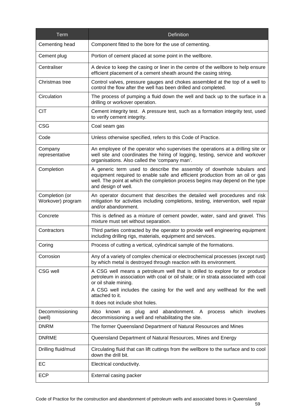| Term                                | <b>Definition</b>                                                                                                                                                                                                                                                                                                            |
|-------------------------------------|------------------------------------------------------------------------------------------------------------------------------------------------------------------------------------------------------------------------------------------------------------------------------------------------------------------------------|
| Cementing head                      | Component fitted to the bore for the use of cementing.                                                                                                                                                                                                                                                                       |
| Cement plug                         | Portion of cement placed at some point in the wellbore.                                                                                                                                                                                                                                                                      |
| Centraliser                         | A device to keep the casing or liner in the centre of the wellbore to help ensure<br>efficient placement of a cement sheath around the casing string.                                                                                                                                                                        |
| Christmas tree                      | Control valves, pressure gauges and chokes assembled at the top of a well to<br>control the flow after the well has been drilled and completed.                                                                                                                                                                              |
| Circulation                         | The process of pumping a fluid down the well and back up to the surface in a<br>drilling or workover operation.                                                                                                                                                                                                              |
| <b>CIT</b>                          | Cement integrity test. A pressure test, such as a formation integrity test, used<br>to verify cement integrity.                                                                                                                                                                                                              |
| <b>CSG</b>                          | Coal seam gas                                                                                                                                                                                                                                                                                                                |
| Code                                | Unless otherwise specified, refers to this Code of Practice.                                                                                                                                                                                                                                                                 |
| Company<br>representative           | An employee of the operator who supervises the operations at a drilling site or<br>well site and coordinates the hiring of logging, testing, service and workover<br>organisations. Also called the 'company man'.                                                                                                           |
| Completion                          | A generic term used to describe the assembly of downhole tubulars and<br>equipment required to enable safe and efficient production from an oil or gas<br>well. The point at which the completion process begins may depend on the type<br>and design of well.                                                               |
| Completion (or<br>Workover) program | An operator document that describes the detailed well procedures and risk<br>mitigation for activities including completions, testing, intervention, well repair<br>and/or abandonment.                                                                                                                                      |
| Concrete                            | This is defined as a mixture of cement powder, water, sand and gravel. This<br>mixture must set without separation.                                                                                                                                                                                                          |
| Contractors                         | Third parties contracted by the operator to provide well engineering equipment<br>including drilling rigs, materials, equipment and services.                                                                                                                                                                                |
| Coring                              | Process of cutting a vertical, cylindrical sample of the formations.                                                                                                                                                                                                                                                         |
| Corrosion                           | Any of a variety of complex chemical or electrochemical processes (except rust)<br>by which metal is destroyed through reaction with its environment.                                                                                                                                                                        |
| CSG well                            | A CSG well means a petroleum well that is drilled to explore for or produce<br>petroleum in association with coal or oil shale; or in strata associated with coal<br>or oil shale mining.<br>A CSG well includes the casing for the well and any wellhead for the well<br>attached to it.<br>It does not include shot holes. |
| Decommissioning<br>(well)           | abandonment. A<br>which<br>involves<br>Also<br>known<br>plug and<br>process<br>as<br>decommissioning a well and rehabilitating the site.                                                                                                                                                                                     |
| <b>DNRM</b>                         | The former Queensland Department of Natural Resources and Mines                                                                                                                                                                                                                                                              |
| <b>DNRME</b>                        | Queensland Department of Natural Resources, Mines and Energy                                                                                                                                                                                                                                                                 |
| Drilling fluid/mud                  | Circulating fluid that can lift cuttings from the wellbore to the surface and to cool<br>down the drill bit.                                                                                                                                                                                                                 |
| EC                                  | Electrical conductivity.                                                                                                                                                                                                                                                                                                     |
| <b>ECP</b>                          | External casing packer                                                                                                                                                                                                                                                                                                       |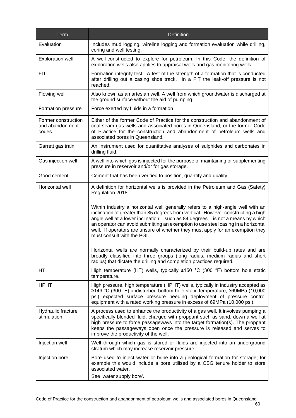| Term                                            | Definition                                                                                                                                                                                                                                                                                                                                                                                                                                                                                                                                                                                                                                                                                                                                                                                                |
|-------------------------------------------------|-----------------------------------------------------------------------------------------------------------------------------------------------------------------------------------------------------------------------------------------------------------------------------------------------------------------------------------------------------------------------------------------------------------------------------------------------------------------------------------------------------------------------------------------------------------------------------------------------------------------------------------------------------------------------------------------------------------------------------------------------------------------------------------------------------------|
| Evaluation                                      | Includes mud logging, wireline logging and formation evaluation while drilling,<br>coring and well testing.                                                                                                                                                                                                                                                                                                                                                                                                                                                                                                                                                                                                                                                                                               |
| <b>Exploration well</b>                         | A well-constructed to explore for petroleum. In this Code, the definition of<br>exploration wells also applies to appraisal wells and gas monitoring wells.                                                                                                                                                                                                                                                                                                                                                                                                                                                                                                                                                                                                                                               |
| FIT                                             | Formation integrity test. A test of the strength of a formation that is conducted<br>after drilling out a casing shoe track. In a FIT the leak-off pressure is not<br>reached.                                                                                                                                                                                                                                                                                                                                                                                                                                                                                                                                                                                                                            |
| Flowing well                                    | Also known as an artesian well. A well from which groundwater is discharged at<br>the ground surface without the aid of pumping.                                                                                                                                                                                                                                                                                                                                                                                                                                                                                                                                                                                                                                                                          |
| Formation pressure                              | Force exerted by fluids in a formation                                                                                                                                                                                                                                                                                                                                                                                                                                                                                                                                                                                                                                                                                                                                                                    |
| Former construction<br>and abandonment<br>codes | Either of the former Code of Practice for the construction and abandonment of<br>coal seam gas wells and associated bores in Queensland, or the former Code<br>of Practice for the construction and abandonment of petroleum wells and<br>associated bores in Queensland.                                                                                                                                                                                                                                                                                                                                                                                                                                                                                                                                 |
| Garrett gas train                               | An instrument used for quantitative analyses of sulphides and carbonates in<br>drilling fluid.                                                                                                                                                                                                                                                                                                                                                                                                                                                                                                                                                                                                                                                                                                            |
| Gas injection well                              | A well into which gas is injected for the purpose of maintaining or supplementing<br>pressure in reservoir and/or for gas storage.                                                                                                                                                                                                                                                                                                                                                                                                                                                                                                                                                                                                                                                                        |
| Good cement                                     | Cement that has been verified to position, quantity and quality                                                                                                                                                                                                                                                                                                                                                                                                                                                                                                                                                                                                                                                                                                                                           |
| Horizontal well                                 | A definition for horizontal wells is provided in the Petroleum and Gas (Safety)<br>Regulation 2018.<br>Within industry a horizontal well generally refers to a high-angle well with an<br>inclination of greater than 85 degrees from vertical. However constructing a high<br>angle well at a lower inclination - such as 84 degrees - is not a means by which<br>an operator can avoid submitting an exemption to use steel casing in a horizontal<br>well. If operators are unsure of whether they must apply for an exemption they<br>must consult with the PGI.<br>Horizontal wells are normally characterized by their build-up rates and are<br>broadly classified into three groups (long radius, medium radius and short<br>radius) that dictate the drilling and completion practices required. |
| HТ                                              | High temperature (HT) wells, typically $\geq$ 150 °C (300 °F) bottom hole static<br>temperature.                                                                                                                                                                                                                                                                                                                                                                                                                                                                                                                                                                                                                                                                                                          |
| <b>HPHT</b>                                     | High pressure, high temperature (HPHT) wells, typically in industry accepted as<br>≥149 °C (300 °F) undisturbed bottom hole static temperature, ≥69MPa (10,000<br>psi) expected surface pressure needing deployment of pressure control<br>equipment with a rated working pressure in excess of 69MPa (10,000 psi).                                                                                                                                                                                                                                                                                                                                                                                                                                                                                       |
| Hydraulic fracture<br>stimulation               | A process used to enhance the productivity of a gas well. It involves pumping a<br>specifically blended fluid, charged with proppant such as sand, down a well at<br>high pressure to force passageways into the target formation(s). The proppant<br>keeps the passageways open once the pressure is released and serves to<br>improve the productivity of the well.                                                                                                                                                                                                                                                                                                                                                                                                                                     |
| Injection well                                  | Well through which gas is stored or fluids are injected into an underground<br>stratum which may increase reservoir pressure.                                                                                                                                                                                                                                                                                                                                                                                                                                                                                                                                                                                                                                                                             |
| Injection bore                                  | Bore used to inject water or brine into a geological formation for storage; for<br>example this would include a bore utilised by a CSG tenure holder to store<br>associated water.<br>See 'water supply bore'.                                                                                                                                                                                                                                                                                                                                                                                                                                                                                                                                                                                            |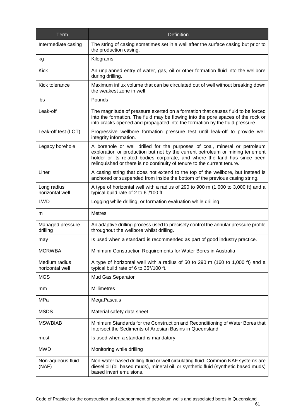| Term                             | Definition                                                                                                                                                                                                                                                                                                         |
|----------------------------------|--------------------------------------------------------------------------------------------------------------------------------------------------------------------------------------------------------------------------------------------------------------------------------------------------------------------|
| Intermediate casing              | The string of casing sometimes set in a well after the surface casing but prior to<br>the production casing.                                                                                                                                                                                                       |
| kg                               | Kilograms                                                                                                                                                                                                                                                                                                          |
| <b>Kick</b>                      | An unplanned entry of water, gas, oil or other formation fluid into the wellbore<br>during drilling.                                                                                                                                                                                                               |
| Kick tolerance                   | Maximum influx volume that can be circulated out of well without breaking down<br>the weakest zone in well                                                                                                                                                                                                         |
| lbs                              | Pounds                                                                                                                                                                                                                                                                                                             |
| Leak-off                         | The magnitude of pressure exerted on a formation that causes fluid to be forced<br>into the formation. The fluid may be flowing into the pore spaces of the rock or<br>into cracks opened and propagated into the formation by the fluid pressure.                                                                 |
| Leak-off test (LOT)              | Progressive wellbore formation pressure test until leak-off to provide well<br>integrity information.                                                                                                                                                                                                              |
| Legacy borehole                  | A borehole or well drilled for the purposes of coal, mineral or petroleum<br>exploration or production but not by the current petroleum or mining tenement<br>holder or its related bodies corporate, and where the land has since been<br>relinquished or there is no continuity of tenure to the current tenure. |
| Liner                            | A casing string that does not extend to the top of the wellbore, but instead is<br>anchored or suspended from inside the bottom of the previous casing string.                                                                                                                                                     |
| Long radius<br>horizontal well   | A type of horizontal well with a radius of 290 to 900 m (1,000 to 3,000 ft) and a<br>typical build rate of 2 to 6°/100 ft.                                                                                                                                                                                         |
| <b>LWD</b>                       | Logging while drilling, or formation evaluation while drilling                                                                                                                                                                                                                                                     |
| m                                | <b>Metres</b>                                                                                                                                                                                                                                                                                                      |
| Managed pressure<br>drilling     | An adaptive drilling process used to precisely control the annular pressure profile<br>throughout the wellbore whilst drilling.                                                                                                                                                                                    |
| may                              | Is used when a standard is recommended as part of good industry practice.                                                                                                                                                                                                                                          |
| <b>MCRWBA</b>                    | Minimum Construction Requirements for Water Bores in Australia                                                                                                                                                                                                                                                     |
| Medium radius<br>horizontal well | A type of horizontal well with a radius of 50 to 290 m (160 to 1,000 ft) and a<br>typical build rate of 6 to 35°/100 ft.                                                                                                                                                                                           |
| <b>MGS</b>                       | Mud Gas Separator                                                                                                                                                                                                                                                                                                  |
| mm                               | <b>Millimetres</b>                                                                                                                                                                                                                                                                                                 |
| MPa                              | MegaPascals                                                                                                                                                                                                                                                                                                        |
| <b>MSDS</b>                      | Material safety data sheet                                                                                                                                                                                                                                                                                         |
| <b>MSWBIAB</b>                   | Minimum Standards for the Construction and Reconditioning of Water Bores that<br>Intersect the Sediments of Artesian Basins in Queensland                                                                                                                                                                          |
| must                             | Is used when a standard is mandatory.                                                                                                                                                                                                                                                                              |
| <b>MWD</b>                       | Monitoring while drilling                                                                                                                                                                                                                                                                                          |
| Non-aqueous fluid<br>(NAF)       | Non-water based drilling fluid or well circulating fluid. Common NAF systems are<br>diesel oil (oil based muds), mineral oil, or synthetic fluid (synthetic based muds)<br>based invert emulsions.                                                                                                                 |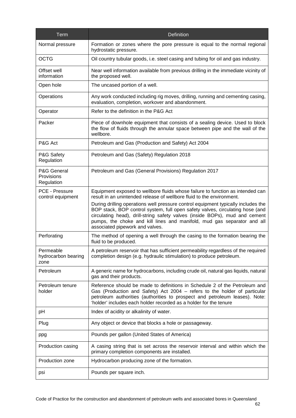| Term                                     | <b>Definition</b>                                                                                                                                                                                                                                                                                                                                               |
|------------------------------------------|-----------------------------------------------------------------------------------------------------------------------------------------------------------------------------------------------------------------------------------------------------------------------------------------------------------------------------------------------------------------|
| Normal pressure                          | Formation or zones where the pore pressure is equal to the normal regional<br>hydrostatic pressure.                                                                                                                                                                                                                                                             |
| <b>OCTG</b>                              | Oil country tubular goods, i.e. steel casing and tubing for oil and gas industry.                                                                                                                                                                                                                                                                               |
| Offset well<br>information               | Near well information available from previous drilling in the immediate vicinity of<br>the proposed well.                                                                                                                                                                                                                                                       |
| Open hole                                | The uncased portion of a well.                                                                                                                                                                                                                                                                                                                                  |
| Operations                               | Any work conducted including rig moves, drilling, running and cementing casing,<br>evaluation, completion, workover and abandonment.                                                                                                                                                                                                                            |
| Operator                                 | Refer to the definition in the P&G Act                                                                                                                                                                                                                                                                                                                          |
| Packer                                   | Piece of downhole equipment that consists of a sealing device. Used to block<br>the flow of fluids through the annular space between pipe and the wall of the<br>wellbore.                                                                                                                                                                                      |
| P&G Act                                  | Petroleum and Gas (Production and Safety) Act 2004                                                                                                                                                                                                                                                                                                              |
| P&G Safety<br>Regulation                 | Petroleum and Gas (Safety) Regulation 2018                                                                                                                                                                                                                                                                                                                      |
| P&G General<br>Provisions<br>Regulation  | Petroleum and Gas (General Provisions) Regulation 2017                                                                                                                                                                                                                                                                                                          |
| PCE - Pressure<br>control equipment      | Equipment exposed to wellbore fluids whose failure to function as intended can<br>result in an unintended release of wellbore fluid to the environment.                                                                                                                                                                                                         |
|                                          | During drilling operations well pressure control equipment typically includes the<br>BOP stack, BOP control system, full open safety valves, circulating hose (and<br>circulating head), drill-string safety valves (inside BOPs), mud and cement<br>pumps, the choke and kill lines and manifold, mud gas separator and all<br>associated pipework and valves. |
| Perforating                              | The method of opening a well through the casing to the formation bearing the<br>fluid to be produced.                                                                                                                                                                                                                                                           |
| Permeable<br>hydrocarbon bearing<br>zone | A petroleum reservoir that has sufficient permeability regardless of the required<br>completion design (e.g. hydraulic stimulation) to produce petroleum.                                                                                                                                                                                                       |
| Petroleum                                | A generic name for hydrocarbons, including crude oil, natural gas liquids, natural<br>gas and their products.                                                                                                                                                                                                                                                   |
| Petroleum tenure<br>holder               | Reference should be made to definitions in Schedule 2 of the Petroleum and<br>Gas (Production and Safety) Act 2004 - refers to the holder of particular<br>petroleum authorities (authorities to prospect and petroleum leases). Note:<br>'holder' includes each holder recorded as a holder for the tenure                                                     |
| pH                                       | Index of acidity or alkalinity of water.                                                                                                                                                                                                                                                                                                                        |
| Plug                                     | Any object or device that blocks a hole or passageway.                                                                                                                                                                                                                                                                                                          |
| ppg                                      | Pounds per gallon (United States of America)                                                                                                                                                                                                                                                                                                                    |
| Production casing                        | A casing string that is set across the reservoir interval and within which the<br>primary completion components are installed.                                                                                                                                                                                                                                  |
| Production zone                          | Hydrocarbon producing zone of the formation.                                                                                                                                                                                                                                                                                                                    |
| psi                                      | Pounds per square inch.                                                                                                                                                                                                                                                                                                                                         |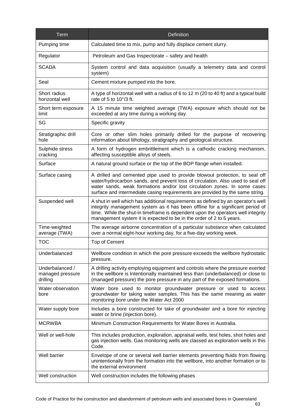| Term                                            | <b>Definition</b>                                                                                                                                                                                                                                                                                                               |
|-------------------------------------------------|---------------------------------------------------------------------------------------------------------------------------------------------------------------------------------------------------------------------------------------------------------------------------------------------------------------------------------|
| Pumping time                                    | Calculated time to mix, pump and fully displace cement slurry.                                                                                                                                                                                                                                                                  |
| Regulator                                       | Petroleum and Gas Inspectorate – safety and health                                                                                                                                                                                                                                                                              |
| <b>SCADA</b>                                    | System control and data acquisition (usually a telemetry data and control<br>system)                                                                                                                                                                                                                                            |
| Seal                                            | Cement mixture pumped into the bore.                                                                                                                                                                                                                                                                                            |
| Short radius<br>horizontal well                 | A type of horizontal well with a radius of 6 to 12 m (20 to 40 ft) and a typical build<br>rate of 5 to 10°/3 ft.                                                                                                                                                                                                                |
| Short term exposure<br>limit                    | A 15 minute time weighted average (TWA) exposure which should not be<br>exceeded at any time during a working day.                                                                                                                                                                                                              |
| SG                                              | Specific gravity                                                                                                                                                                                                                                                                                                                |
| Stratigraphic drill<br>hole                     | Core or other slim holes primarily drilled for the purpose of recovering<br>information about lithology, stratigraphy and geological structure.                                                                                                                                                                                 |
| Sulphide stress<br>cracking                     | A form of hydrogen embrittlement which is a cathodic cracking mechanism,<br>affecting susceptible alloys of steels.                                                                                                                                                                                                             |
| Surface                                         | A natural ground surface or the top of the BOP flange when installed.                                                                                                                                                                                                                                                           |
| Surface casing                                  | A drilled and cemented pipe used to provide blowout protection, to seal off<br>water/hydrocarbon sands, and prevent loss of circulation. Also used to seal off<br>water sands, weak formations and/or lost circulation zones. In some cases<br>surface and intermediate casing requirements are provided by the same string.    |
| Suspended well                                  | A shut in well which has additional requirements as defined by an operator's well<br>integrity management system as it has been offline for a significant period of<br>time. While the shut-in timeframe is dependent upon the operators well integrity<br>management system it is expected to be in the order of 2 to 5 years. |
| Time-weighted<br>average (TWA)                  | The average airborne concentration of a particular substance when calculated<br>over a normal eight-hour working day, for a five-day working week.                                                                                                                                                                              |
| <b>TOC</b>                                      | Top of Cement                                                                                                                                                                                                                                                                                                                   |
| Underbalanced                                   | Wellbore condition in which the pore pressure exceeds the wellbore hydrostatic<br>pressure.                                                                                                                                                                                                                                     |
| Underbalanced /<br>managed pressure<br>drilling | A drilling activity employing equipment and controls where the pressure exerted<br>in the wellbore is Intentionally maintained less than (underbalanced) or close to<br>(managed pressure) the pore pressure in any part of the exposed formations.                                                                             |
| Water observation<br>bore                       | Water bore used to monitor groundwater pressure or used to access<br>groundwater for taking water samples. This has the same meaning as water<br>monitoring bore under the Water Act 2000                                                                                                                                       |
| Water supply bore                               | Includes a bore constructed for take of groundwater and a bore for injecting<br>water or brine (injection bore).                                                                                                                                                                                                                |
| <b>MCRWBA</b>                                   | Minimum Construction Requirements for Water Bores in Australia.                                                                                                                                                                                                                                                                 |
| Well or well-hole                               | This includes production, exploration, appraisal wells, test holes, shot holes and<br>gas injection wells. Gas monitoring wells are classed as exploration wells in this<br>Code.                                                                                                                                               |
| Well barrier                                    | Envelope of one or several well barrier elements preventing fluids from flowing<br>unintentionally from the formation into the wellbore, into another formation or to<br>the external environment                                                                                                                               |
| Well construction                               | Well construction includes the following phases                                                                                                                                                                                                                                                                                 |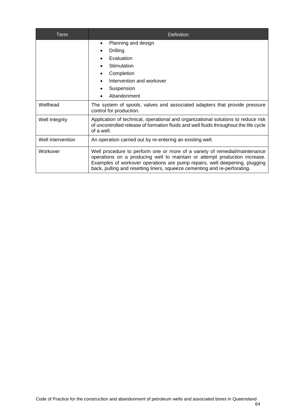| Term              | <b>Definition</b>                                                                                                                                                                                                                                                                                                   |
|-------------------|---------------------------------------------------------------------------------------------------------------------------------------------------------------------------------------------------------------------------------------------------------------------------------------------------------------------|
|                   | Planning and design<br>$\bullet$<br>Drilling<br>Evaluation<br>Stimulation<br>Completion<br>Intervention and workover<br>Suspension<br>Abandonment                                                                                                                                                                   |
| Wellhead          | The system of spools, valves and associated adapters that provide pressure<br>control for production.                                                                                                                                                                                                               |
| Well Integrity    | Application of technical, operational and organizational solutions to reduce risk<br>of uncontrolled release of formation fluids and well fluids throughout the life cycle<br>of a well.                                                                                                                            |
| Well intervention | An operation carried out by re-entering an existing well.                                                                                                                                                                                                                                                           |
| Workover          | Well procedure to perform one or more of a variety of remedial/maintenance<br>operations on a producing well to maintain or attempt production increase.<br>Examples of workover operations are pump repairs, well deepening, plugging<br>back, pulling and resetting liners, squeeze cementing and re-perforating. |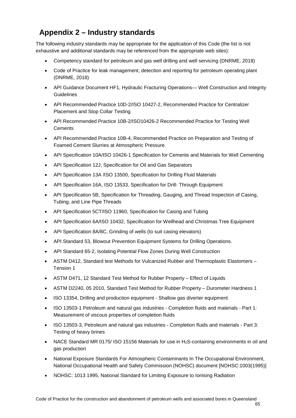# **Appendix 2 – Industry standards**

The following industry standards may be appropriate for the application of this Code (the list is not exhaustive and additional standards may be referenced from the appropriate web sites):

- Competency standard for petroleum and gas well drilling and well servicing (DNRME, 2018)
- Code of Practice for leak management, detection and reporting for petroleum operating plant (DNRME, 2018)
- API Guidance Document HF1, Hydraulic Fracturing Operations— Well Construction and Integrity **Guidelines**
- API Recommended Practice 10D-2/ISO 10427-2, Recommended Practice for Centralizer Placement and Stop Collar Testing
- API Recommended Practice 10B-2/ISO10426-2 Recommended Practice for Testing Well **Cements**
- API Recommended Practice 10B-4, Recommended Practice on Preparation and Testing of Foamed Cement Slurries at Atmospheric Pressure
- API Specification 10A/ISO 10426-1 Specification for Cements and Materials for Well Cementing
- API Specification 12J, Specification for Oil and Gas Separators
- API Specification 13A /ISO 13500, Specification for Drilling Fluid Materials
- API Specification 16A, ISO 13533, Specification for Drill- Through Equipment
- API Specification 5B, Specification for Threading, Gauging, and Thread Inspection of Casing, Tubing, and Line Pipe Threads
- API Specification 5CT/ISO 11960, Specification for Casing and Tubing
- API Specification 6A/ISO 10432, Specification for Wellhead and Christmas Tree Equipment
- API Specification 8A/8C, Grinding of wells (to suit casing elevators)
- API Standard 53, Blowout Prevention Equipment Systems for Drilling Operations.
- API Standard 65-2, Isolating Potential Flow Zones During Well Construction
- ASTM D412, Standard test Methods for Vulcanized Rubber and Thermoplastic Elastomers Tension 1
- ASTM D471, 12 Standard Test Method for Rubber Property Effect of Liquids
- ASTM D2240, 05 2010, Standard Test Method for Rubber Property Durometer Hardness 1
- ISO 13354, Drilling and production equipment Shallow gas diverter equipment
- ISO 13503-1 Petroleum and natural gas industries Completion fluids and materials Part 1: Measurement of viscous properties of completion fluids
- ISO 13503-3, Petroleum and natural gas industries Completion fluids and materials Part 3: Testing of heavy brines
- NACE Standard MR 0175/ISO 15156 Materials for use in H<sub>2</sub>S-containing environments in oil and gas production
- National Exposure Standards For Atmospheric Contaminants In The Occupational Environment, National Occupational Health and Safety Commission (NOHSC) document [NOHSC:1003(1995)]
- NOHSC: 1013 1995, National Standard for Limiting Exposure to Ionising Radiation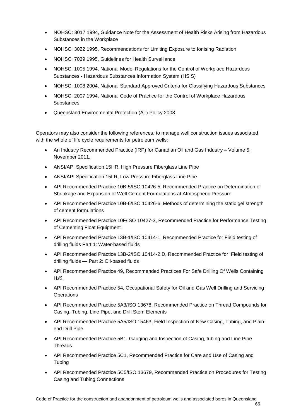- NOHSC: 3017 1994, Guidance Note for the Assessment of Health Risks Arising from Hazardous Substances in the Workplace
- NOHSC: 3022 1995, Recommendations for Limiting Exposure to Ionising Radiation
- NOHSC: 7039 1995, Guidelines for Health Surveillance
- NOHSC: 1005 1994, National Model Regulations for the Control of Workplace Hazardous Substances - Hazardous Substances Information System (HSIS)
- NOHSC: 1008 2004, National Standard Approved Criteria for Classifying Hazardous Substances
- NOHSC: 2007 1994, National Code of Practice for the Control of Workplace Hazardous **Substances**
- Queensland Environmental Protection (Air) Policy 2008

Operators may also consider the following references, to manage well construction issues associated with the whole of life cycle requirements for petroleum wells:

- An Industry Recommended Practice (IRP) for Canadian Oil and Gas Industry Volume 5, November 2011.
- ANSI/API Specification 15HR, High Pressure Fiberglass Line Pipe
- ANSI/API Specification 15LR, Low Pressure Fiberglass Line Pipe
- API Recommended Practice 10B-5/ISO 10426-5, Recommended Practice on Determination of Shrinkage and Expansion of Well Cement Formulations at Atmospheric Pressure
- API Recommended Practice 10B-6/ISO 10426-6, Methods of determining the static gel strength of cement formulations
- API Recommended Practice 10F/ISO 10427-3, Recommended Practice for Performance Testing of Cementing Float Equipment
- API Recommended Practice 13B-1/ISO 10414-1, Recommended Practice for Field testing of drilling fluids Part 1: Water-based fluids
- API Recommended Practice 13B-2/ISO 10414-2,D, Recommended Practice for Field testing of drilling fluids — Part 2: Oil-based fluids
- API Recommended Practice 49, Recommended Practices For Safe Drilling Of Wells Containing  $H<sub>2</sub>S$ .
- API Recommended Practice 54, Occupational Safety for Oil and Gas Well Drilling and Servicing **Operations**
- API Recommended Practice 5A3/ISO 13678, Recommended Practice on Thread Compounds for Casing, Tubing, Line Pipe, and Drill Stem Elements
- API Recommended Practice 5A5/ISO 15463, Field Inspection of New Casing, Tubing, and Plainend Drill Pipe
- API Recommended Practice 5B1, Gauging and Inspection of Casing, tubing and Line Pipe **Threads**
- API Recommended Practice 5C1, Recommended Practice for Care and Use of Casing and Tubing
- API Recommended Practice 5C5/ISO 13679, Recommended Practice on Procedures for Testing Casing and Tubing Connections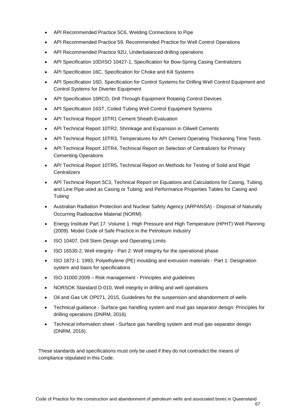- API Recommended Practice 5C6, Welding Connections to Pipe
- API Recommended Practice 59, Recommended Practice for Well Control Operations
- API Recommended Practice 92U, Underbalanced drilling operations
- API Specification 10D/ISO 10427-1, Specification for Bow-Spring Casing Centralizers
- API Specification 16C, Specification for Choke and Kill Systems
- API Specification 16D, Specification for Control Systems for Drilling Well Control Equipment and Control Systems for Diverter Equipment
- API Specification 16RCD, Drill Through Equipment Rotating Control Devices
- API Specification 16ST, Coiled Tubing Well Control Equipment Systems
- API Technical Report 10TR1 Cement Sheath Evaluation
- API Technical Report 10TR2, Shrinkage and Expansion in Oilwell Cements
- API Technical Report 10TR3, Temperatures for API Cement Operating Thickening Time Tests
- API Technical Report 10TR4, Technical Report on Selection of Centralizers for Primary Cementing Operations
- API Technical Report 10TR5, Technical Report on Methods for Testing of Solid and Rigid **Centralizers**
- API Technical Report 5C3, Technical Report on Equations and Calculations for Casing, Tubing, and Line Pipe used as Casing or Tubing; and Performance Properties Tables for Casing and **Tubing**
- Australian Radiation Protection and Nuclear Safety Agency (ARPANSA) Disposal of Naturally Occurring Radioactive Material (NORM)
- Energy Institute Part 17: Volume 1: High Pressure and High Temperature (HPHT) Well Planning (2009). Model Code of Safe Practice in the Petroleum Industry
- ISO 10407, Drill Stem Design and Operating Limits
- ISO 16530-2, Well integrity Part 2: Well integrity for the operational phase
- ISO 1872-1: 1993, Polyethylene (PE) moulding and extrusion materials Part 1: Designation system and basis for specifications
- ISO 31000:2009 Risk management Principles and guidelines
- NORSOK Standard D-010, Well integrity in drilling and well operations
- Oil and Gas UK OP071, 2015, Guidelines for the suspension and abandonment of wells
- Technical guidance Surface gas handling system and mud gas separator design: Principles for drilling operations (DNRM, 2016).
- Technical information sheet Surface gas handling system and mud gas separator design (DNRM, 2016).

These standards and specifications must only be used if they do not contradict the means of compliance stipulated in this Code.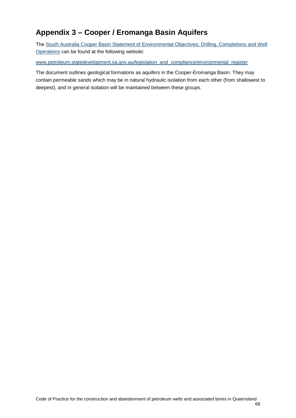## **Appendix 3 – Cooper / Eromanga Basin Aquifers**

The [South Australia Cooper Basin Statement of Environmental Objectives;](https://sarigbasis.pir.sa.gov.au/WebtopEw/ws/samref/sarig1/image/DDD/PGER00246SEO%20DRILLING%20OPERATIONS.pdf) Drilling, Completions and Well [Operations](https://sarigbasis.pir.sa.gov.au/WebtopEw/ws/samref/sarig1/image/DDD/PGER00246SEO%20DRILLING%20OPERATIONS.pdf) can be found at the following website:

[www.petroleum.statedevelopment.sa.gov.au/legislation\\_and\\_compliance/environmental\\_register](http://www.petroleum.statedevelopment.sa.gov.au/legislation_and_compliance/environmental_register)

The document outlines geological formations as aquifers in the Cooper-Eromanga Basin. They may contain permeable sands which may be in natural hydraulic isolation from each other (from shallowest to deepest), and in general isolation will be maintained between these groups.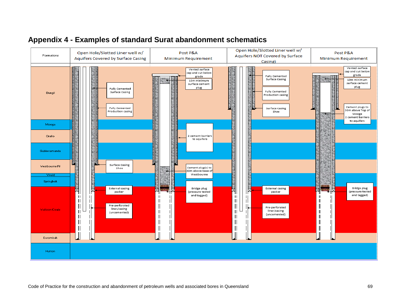

## **Appendix 4 - Examples of standard Surat abandonment schematics**